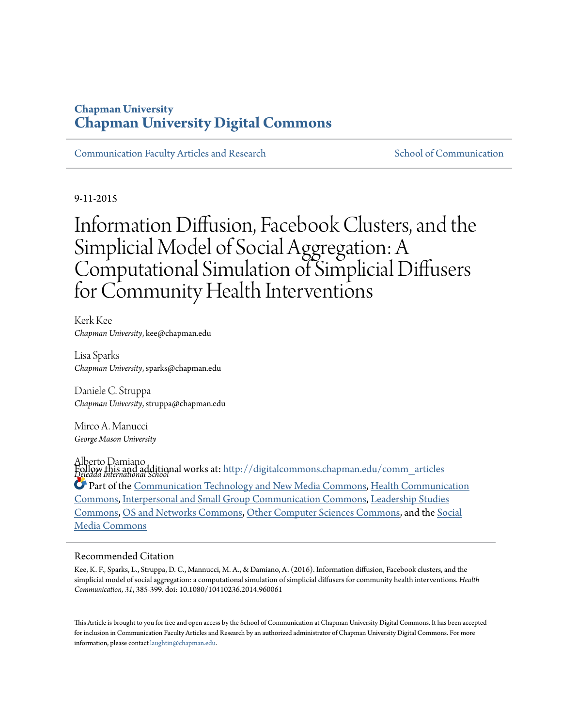# **Chapman University [Chapman University Digital Commons](http://digitalcommons.chapman.edu?utm_source=digitalcommons.chapman.edu%2Fcomm_articles%2F25&utm_medium=PDF&utm_campaign=PDFCoverPages)**

[Communication Faculty Articles and Research](http://digitalcommons.chapman.edu/comm_articles?utm_source=digitalcommons.chapman.edu%2Fcomm_articles%2F25&utm_medium=PDF&utm_campaign=PDFCoverPages) [School of Communication](http://digitalcommons.chapman.edu/communication?utm_source=digitalcommons.chapman.edu%2Fcomm_articles%2F25&utm_medium=PDF&utm_campaign=PDFCoverPages)

9-11-2015

Information Diffusion, Facebook Clusters, and the Simplicial Model of Social Aggregation: A Computational Simulation of Simplicial Diffusers for Community Health Interventions

Kerk Kee *Chapman University*, kee@chapman.edu

Lisa Sparks *Chapman University*, sparks@chapman.edu

Daniele C. Struppa *Chapman University*, struppa@chapman.edu

Mirco A. Manucci *George Mason University*

Alberto Damiano *Deledda International School* Follow this and additional works at: [http://digitalcommons.chapman.edu/comm\\_articles](http://digitalcommons.chapman.edu/comm_articles?utm_source=digitalcommons.chapman.edu%2Fcomm_articles%2F25&utm_medium=PDF&utm_campaign=PDFCoverPages) Part of the [Communication Technology and New Media Commons](http://network.bepress.com/hgg/discipline/327?utm_source=digitalcommons.chapman.edu%2Fcomm_articles%2F25&utm_medium=PDF&utm_campaign=PDFCoverPages), [Health Communication](http://network.bepress.com/hgg/discipline/330?utm_source=digitalcommons.chapman.edu%2Fcomm_articles%2F25&utm_medium=PDF&utm_campaign=PDFCoverPages) [Commons,](http://network.bepress.com/hgg/discipline/330?utm_source=digitalcommons.chapman.edu%2Fcomm_articles%2F25&utm_medium=PDF&utm_campaign=PDFCoverPages) [Interpersonal and Small Group Communication Commons](http://network.bepress.com/hgg/discipline/332?utm_source=digitalcommons.chapman.edu%2Fcomm_articles%2F25&utm_medium=PDF&utm_campaign=PDFCoverPages), [Leadership Studies](http://network.bepress.com/hgg/discipline/1250?utm_source=digitalcommons.chapman.edu%2Fcomm_articles%2F25&utm_medium=PDF&utm_campaign=PDFCoverPages) [Commons,](http://network.bepress.com/hgg/discipline/1250?utm_source=digitalcommons.chapman.edu%2Fcomm_articles%2F25&utm_medium=PDF&utm_campaign=PDFCoverPages) [OS and Networks Commons](http://network.bepress.com/hgg/discipline/149?utm_source=digitalcommons.chapman.edu%2Fcomm_articles%2F25&utm_medium=PDF&utm_campaign=PDFCoverPages), [Other Computer Sciences Commons,](http://network.bepress.com/hgg/discipline/152?utm_source=digitalcommons.chapman.edu%2Fcomm_articles%2F25&utm_medium=PDF&utm_campaign=PDFCoverPages) and the [Social](http://network.bepress.com/hgg/discipline/1249?utm_source=digitalcommons.chapman.edu%2Fcomm_articles%2F25&utm_medium=PDF&utm_campaign=PDFCoverPages) [Media Commons](http://network.bepress.com/hgg/discipline/1249?utm_source=digitalcommons.chapman.edu%2Fcomm_articles%2F25&utm_medium=PDF&utm_campaign=PDFCoverPages)

## Recommended Citation

Kee, K. F., Sparks, L., Struppa, D. C., Mannucci, M. A., & Damiano, A. (2016). Information diffusion, Facebook clusters, and the simplicial model of social aggregation: a computational simulation of simplicial diffusers for community health interventions. *Health Communication, 31*, 385-399. doi: 10.1080/10410236.2014.960061

This Article is brought to you for free and open access by the School of Communication at Chapman University Digital Commons. It has been accepted for inclusion in Communication Faculty Articles and Research by an authorized administrator of Chapman University Digital Commons. For more information, please contact [laughtin@chapman.edu](mailto:laughtin@chapman.edu).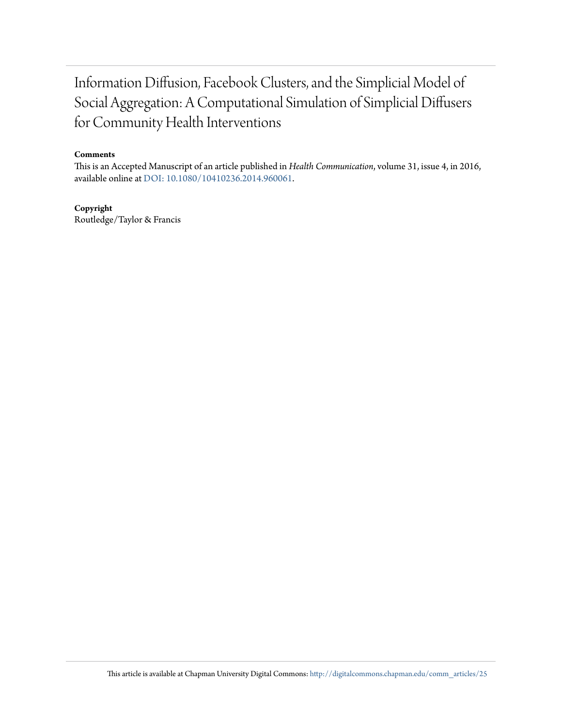# Information Diffusion, Facebook Clusters, and the Simplicial Model of Social Aggregation: A Computational Simulation of Simplicial Diffusers for Community Health Interventions

# **Comments**

This is an Accepted Manuscript of an article published in *Health Communication*, volume 31, issue 4, in 2016, available online at [DOI: 10.1080/10410236.2014.960061.](http://www.tandfonline.com/full/10.1080/10410236.2014.960061)

**Copyright** Routledge/Taylor & Francis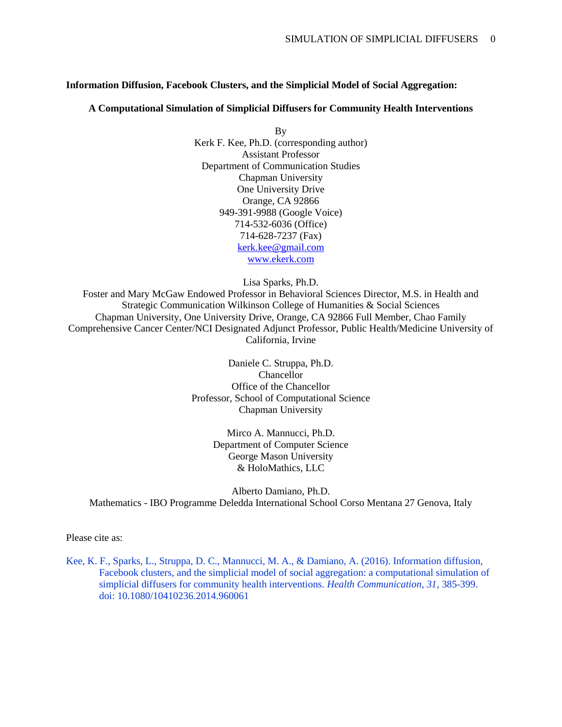#### **Information Diffusion, Facebook Clusters, and the Simplicial Model of Social Aggregation:**

# **A Computational Simulation of Simplicial Diffusers for Community Health Interventions**

By Kerk F. Kee, Ph.D. (corresponding author) Assistant Professor Department of Communication Studies Chapman University One University Drive Orange, CA 92866 949-391-9988 (Google Voice) 714-532-6036 (Office) 714-628-7237 (Fax) [kerk.kee@gmail.com](mailto:kerk.kee@gmail.com) [www.ekerk.com](http://www.ekerk.com/)

Lisa Sparks, Ph.D.

Foster and Mary McGaw Endowed Professor in Behavioral Sciences Director, M.S. in Health and Strategic Communication Wilkinson College of Humanities & Social Sciences Chapman University, One University Drive, Orange, CA 92866 Full Member, Chao Family Comprehensive Cancer Center/NCI Designated Adjunct Professor, Public Health/Medicine University of California, Irvine

> Daniele C. Struppa, Ph.D. Chancellor Office of the Chancellor Professor, School of Computational Science Chapman University

> > Mirco A. Mannucci, Ph.D. Department of Computer Science George Mason University & HoloMathics, LLC

Alberto Damiano, Ph.D. Mathematics - IBO Programme Deledda International School Corso Mentana 27 Genova, Italy

Please cite as:

Kee, K. F., Sparks, L., Struppa, D. C., Mannucci, M. A., & Damiano, A. (2016). Information diffusion, Facebook clusters, and the simplicial model of social aggregation: a computational simulation of simplicial diffusers for community health interventions. *Health Communication, 31*, 385-399. doi: 10.1080/10410236.2014.960061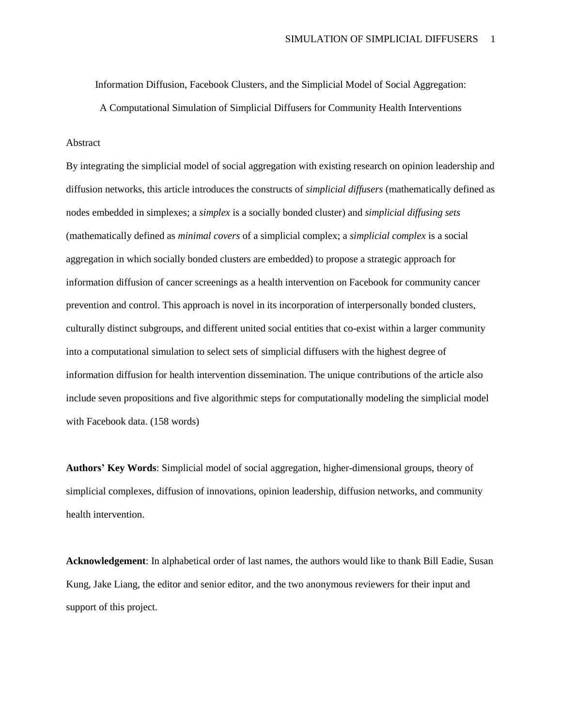Information Diffusion, Facebook Clusters, and the Simplicial Model of Social Aggregation:

A Computational Simulation of Simplicial Diffusers for Community Health Interventions

#### Abstract

By integrating the simplicial model of social aggregation with existing research on opinion leadership and diffusion networks, this article introduces the constructs of *simplicial diffusers* (mathematically defined as nodes embedded in simplexes; a *simplex* is a socially bonded cluster) and *simplicial diffusing sets* (mathematically defined as *minimal covers* of a simplicial complex; a *simplicial complex* is a social aggregation in which socially bonded clusters are embedded) to propose a strategic approach for information diffusion of cancer screenings as a health intervention on Facebook for community cancer prevention and control. This approach is novel in its incorporation of interpersonally bonded clusters, culturally distinct subgroups, and different united social entities that co-exist within a larger community into a computational simulation to select sets of simplicial diffusers with the highest degree of information diffusion for health intervention dissemination. The unique contributions of the article also include seven propositions and five algorithmic steps for computationally modeling the simplicial model with Facebook data. (158 words)

**Authors' Key Words**: Simplicial model of social aggregation, higher-dimensional groups, theory of simplicial complexes, diffusion of innovations, opinion leadership, diffusion networks, and community health intervention.

**Acknowledgement**: In alphabetical order of last names, the authors would like to thank Bill Eadie, Susan Kung, Jake Liang, the editor and senior editor, and the two anonymous reviewers for their input and support of this project.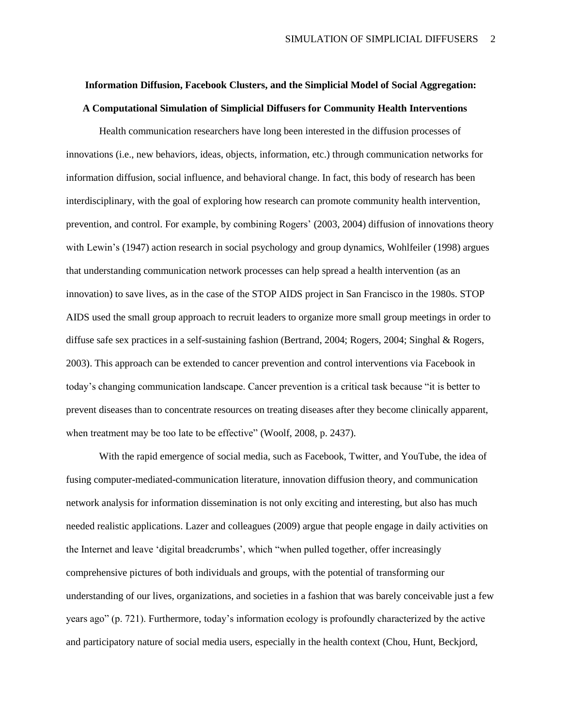# **Information Diffusion, Facebook Clusters, and the Simplicial Model of Social Aggregation: A Computational Simulation of Simplicial Diffusers for Community Health Interventions**

Health communication researchers have long been interested in the diffusion processes of innovations (i.e., new behaviors, ideas, objects, information, etc.) through communication networks for information diffusion, social influence, and behavioral change. In fact, this body of research has been interdisciplinary, with the goal of exploring how research can promote community health intervention, prevention, and control. For example, by combining Rogers' [\(2003,](#page-39-0) [2004\)](#page-39-1) diffusion of innovations theory with Lewin's [\(1947\)](#page-39-2) action research in social psychology and group dynamics, Wohlfeiler [\(1998\)](#page-40-0) argues that understanding communication network processes can help spread a health intervention (as an innovation) to save lives, as in the case of the STOP AIDS project in San Francisco in the 1980s. STOP AIDS used the small group approach to recruit leaders to organize more small group meetings in order to diffuse safe sex practices in a self-sustaining fashion [\(Bertrand, 2004;](#page-37-0) [Rogers, 2004;](#page-39-1) [Singhal & Rogers,](#page-39-3)  [2003\)](#page-39-3). This approach can be extended to cancer prevention and control interventions via Facebook in today's changing communication landscape. Cancer prevention is a critical task because "it is better to prevent diseases than to concentrate resources on treating diseases after they become clinically apparent, when treatment may be too late to be effective" [\(Woolf, 2008, p. 2437\)](#page-40-1).

With the rapid emergence of social media, such as Facebook, Twitter, and YouTube, the idea of fusing computer-mediated-communication literature, innovation diffusion theory, and communication network analysis for information dissemination is not only exciting and interesting, but also has much needed realistic applications. Lazer and colleagues [\(2009\)](#page-38-0) argue that people engage in daily activities on the Internet and leave 'digital breadcrumbs', which "when pulled together, offer increasingly comprehensive pictures of both individuals and groups, with the potential of transforming our understanding of our lives, organizations, and societies in a fashion that was barely conceivable just a few years ago" (p. 721). Furthermore, today's information ecology is profoundly characterized by the active and participatory nature of social media users, especially in the health context [\(Chou, Hunt, Beckjord,](#page-37-1)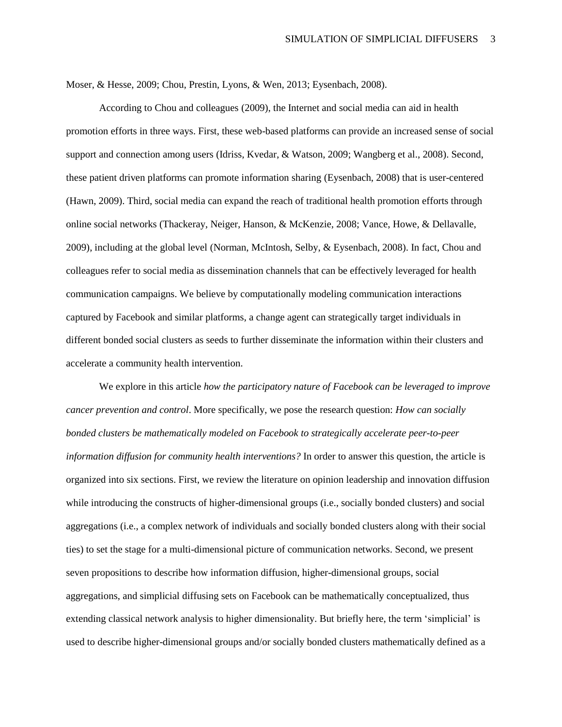[Moser, & Hesse, 2009;](#page-37-1) [Chou, Prestin, Lyons, & Wen, 2013;](#page-37-2) [Eysenbach, 2008\)](#page-38-1).

According to Chou and colleagues [\(2009\)](#page-37-1), the Internet and social media can aid in health promotion efforts in three ways. First, these web-based platforms can provide an increased sense of social support and connection among users [\(Idriss, Kvedar, & Watson, 2009;](#page-38-2) [Wangberg et al., 2008\)](#page-40-2). Second, these patient driven platforms can promote information sharing [\(Eysenbach, 2008\)](#page-38-1) that is user-centered [\(Hawn, 2009\)](#page-38-3). Third, social media can expand the reach of traditional health promotion efforts through online social networks [\(Thackeray, Neiger, Hanson, & McKenzie, 2008;](#page-39-4) [Vance, Howe, & Dellavalle,](#page-40-3)  [2009\)](#page-40-3), including at the global level [\(Norman, McIntosh, Selby, & Eysenbach, 2008\)](#page-39-5). In fact, Chou and colleagues refer to social media as dissemination channels that can be effectively leveraged for health communication campaigns. We believe by computationally modeling communication interactions captured by Facebook and similar platforms, a change agent can strategically target individuals in different bonded social clusters as seeds to further disseminate the information within their clusters and accelerate a community health intervention.

We explore in this article *how the participatory nature of Facebook can be leveraged to improve cancer prevention and control*. More specifically, we pose the research question: *How can socially bonded clusters be mathematically modeled on Facebook to strategically accelerate peer-to-peer information diffusion for community health interventions?* In order to answer this question, the article is organized into six sections. First, we review the literature on opinion leadership and innovation diffusion while introducing the constructs of higher-dimensional groups (i.e., socially bonded clusters) and social aggregations (i.e., a complex network of individuals and socially bonded clusters along with their social ties) to set the stage for a multi-dimensional picture of communication networks. Second, we present seven propositions to describe how information diffusion, higher-dimensional groups, social aggregations, and simplicial diffusing sets on Facebook can be mathematically conceptualized, thus extending classical network analysis to higher dimensionality. But briefly here, the term 'simplicial' is used to describe higher-dimensional groups and/or socially bonded clusters mathematically defined as a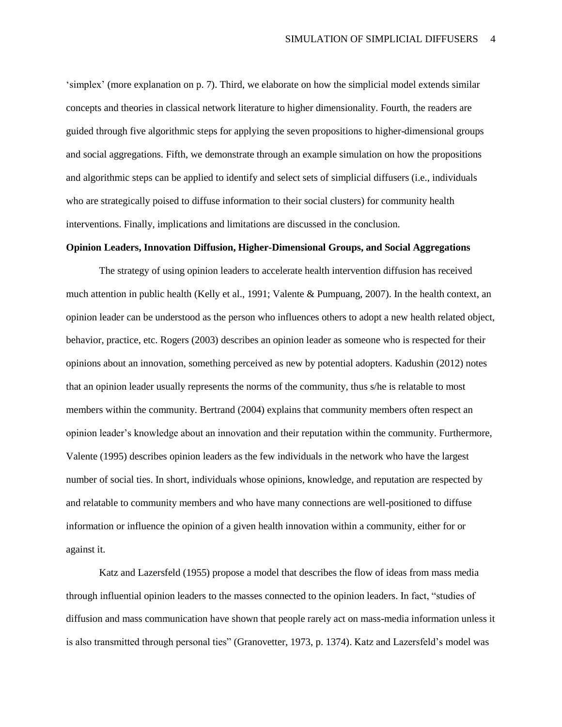'simplex' (more explanation on p. 7). Third, we elaborate on how the simplicial model extends similar concepts and theories in classical network literature to higher dimensionality. Fourth, the readers are guided through five algorithmic steps for applying the seven propositions to higher-dimensional groups and social aggregations. Fifth, we demonstrate through an example simulation on how the propositions and algorithmic steps can be applied to identify and select sets of simplicial diffusers (i.e., individuals who are strategically poised to diffuse information to their social clusters) for community health interventions. Finally, implications and limitations are discussed in the conclusion.

#### **Opinion Leaders, Innovation Diffusion, Higher-Dimensional Groups, and Social Aggregations**

The strategy of using opinion leaders to accelerate health intervention diffusion has received much attention in public health [\(Kelly et al., 1991;](#page-38-4) [Valente & Pumpuang, 2007\)](#page-40-4). In the health context, an opinion leader can be understood as the person who influences others to adopt a new health related object, behavior, practice, etc. Rogers [\(2003\)](#page-39-0) describes an opinion leader as someone who is respected for their opinions about an innovation, something perceived as new by potential adopters. Kadushin [\(2012\)](#page-38-5) notes that an opinion leader usually represents the norms of the community, thus s/he is relatable to most members within the community. Bertrand [\(2004\)](#page-37-0) explains that community members often respect an opinion leader's knowledge about an innovation and their reputation within the community. Furthermore, Valente [\(1995\)](#page-39-6) describes opinion leaders as the few individuals in the network who have the largest number of social ties. In short, individuals whose opinions, knowledge, and reputation are respected by and relatable to community members and who have many connections are well-positioned to diffuse information or influence the opinion of a given health innovation within a community, either for or against it.

Katz and Lazersfeld [\(1955\)](#page-38-6) propose a model that describes the flow of ideas from mass media through influential opinion leaders to the masses connected to the opinion leaders. In fact, "studies of diffusion and mass communication have shown that people rarely act on mass-media information unless it is also transmitted through personal ties" [\(Granovetter, 1973, p. 1374\)](#page-38-7). Katz and Lazersfeld's model was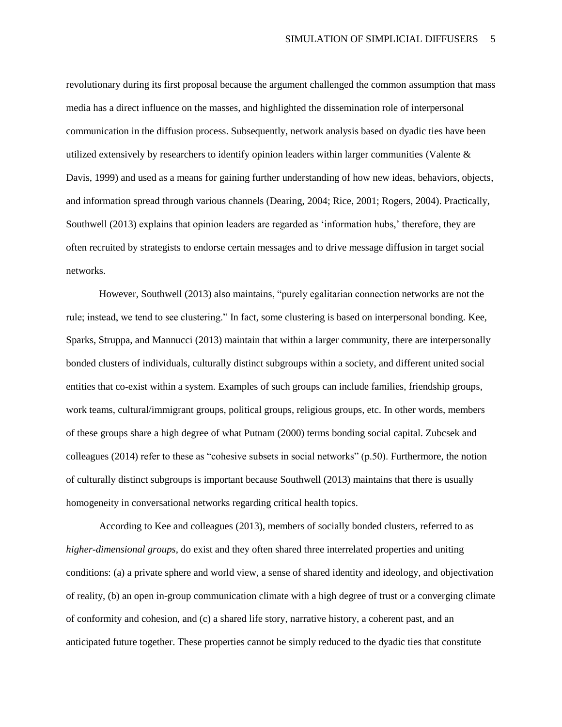revolutionary during its first proposal because the argument challenged the common assumption that mass media has a direct influence on the masses, and highlighted the dissemination role of interpersonal communication in the diffusion process. Subsequently, network analysis based on dyadic ties have been utilized extensively by researchers to identify opinion leaders within larger communities [\(Valente &](#page-40-5)  [Davis, 1999\)](#page-40-5) and used as a means for gaining further understanding of how new ideas, behaviors, objects, and information spread through various channels [\(Dearing, 2004;](#page-37-3) [Rice, 2001;](#page-39-7) [Rogers, 2004\)](#page-39-1). Practically, Southwell [\(2013\)](#page-39-8) explains that opinion leaders are regarded as 'information hubs,' therefore, they are often recruited by strategists to endorse certain messages and to drive message diffusion in target social networks.

However, Southwell [\(2013\)](#page-39-8) also maintains, "purely egalitarian connection networks are not the rule; instead, we tend to see clustering." In fact, some clustering is based on interpersonal bonding. Kee, Sparks, Struppa, and Mannucci [\(2013\)](#page-38-8) maintain that within a larger community, there are interpersonally bonded clusters of individuals, culturally distinct subgroups within a society, and different united social entities that co-exist within a system. Examples of such groups can include families, friendship groups, work teams, cultural/immigrant groups, political groups, religious groups, etc. In other words, members of these groups share a high degree of what Putnam [\(2000\)](#page-39-9) terms bonding social capital. Zubcsek and colleagues [\(2014\)](#page-40-6) refer to these as "cohesive subsets in social networks" (p.50). Furthermore, the notion of culturally distinct subgroups is important because Southwell [\(2013\)](#page-39-8) maintains that there is usually homogeneity in conversational networks regarding critical health topics.

According to Kee and colleagues [\(2013\)](#page-38-8), members of socially bonded clusters, referred to as *higher-dimensional groups*, do exist and they often shared three interrelated properties and uniting conditions: (a) a private sphere and world view, a sense of shared identity and ideology, and objectivation of reality, (b) an open in-group communication climate with a high degree of trust or a converging climate of conformity and cohesion, and (c) a shared life story, narrative history, a coherent past, and an anticipated future together. These properties cannot be simply reduced to the dyadic ties that constitute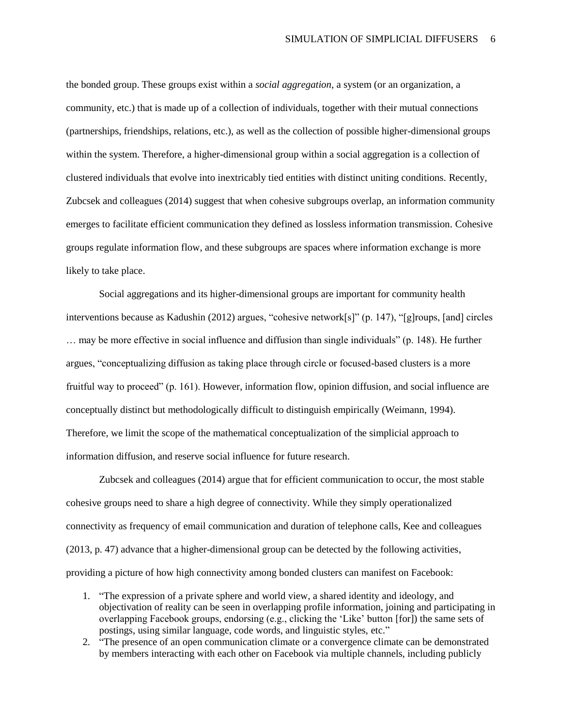the bonded group. These groups exist within a *social aggregation*, a system (or an organization, a community, etc.) that is made up of a collection of individuals, together with their mutual connections (partnerships, friendships, relations, etc.), as well as the collection of possible higher-dimensional groups within the system. Therefore, a higher-dimensional group within a social aggregation is a collection of clustered individuals that evolve into inextricably tied entities with distinct uniting conditions. Recently, Zubcsek and colleagues [\(2014\)](#page-40-6) suggest that when cohesive subgroups overlap, an information community emerges to facilitate efficient communication they defined as lossless information transmission. Cohesive groups regulate information flow, and these subgroups are spaces where information exchange is more likely to take place.

Social aggregations and its higher-dimensional groups are important for community health interventions because as Kadushin [\(2012\)](#page-38-5) argues, "cohesive network[s]" (p. 147), "[g]roups, [and] circles … may be more effective in social influence and diffusion than single individuals" (p. 148). He further argues, "conceptualizing diffusion as taking place through circle or focused-based clusters is a more fruitful way to proceed" (p. 161). However, information flow, opinion diffusion, and social influence are conceptually distinct but methodologically difficult to distinguish empirically [\(Weimann, 1994\)](#page-40-7). Therefore, we limit the scope of the mathematical conceptualization of the simplicial approach to information diffusion, and reserve social influence for future research.

Zubcsek and colleagues [\(2014\)](#page-40-6) argue that for efficient communication to occur, the most stable cohesive groups need to share a high degree of connectivity. While they simply operationalized connectivity as frequency of email communication and duration of telephone calls, Kee and colleagues [\(2013, p. 47\)](#page-38-8) advance that a higher-dimensional group can be detected by the following activities, providing a picture of how high connectivity among bonded clusters can manifest on Facebook:

- 1. "The expression of a private sphere and world view, a shared identity and ideology, and objectivation of reality can be seen in overlapping profile information, joining and participating in overlapping Facebook groups, endorsing (e.g., clicking the 'Like' button [for]) the same sets of postings, using similar language, code words, and linguistic styles, etc."
- 2. "The presence of an open communication climate or a convergence climate can be demonstrated by members interacting with each other on Facebook via multiple channels, including publicly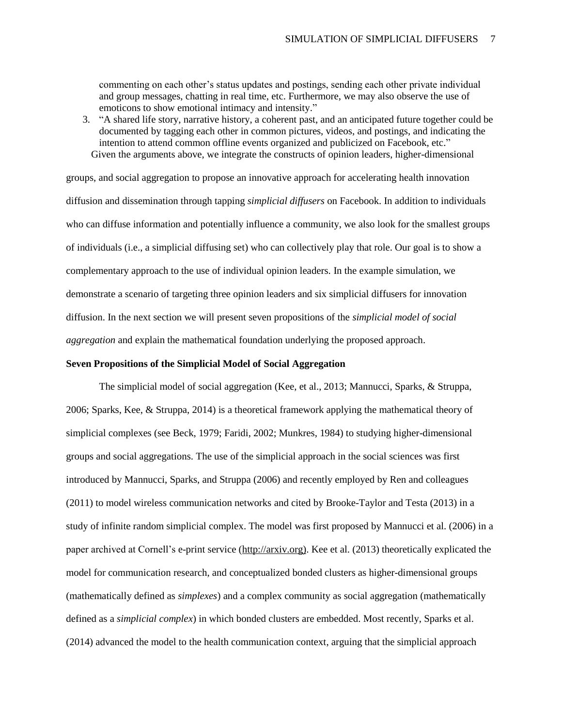commenting on each other's status updates and postings, sending each other private individual and group messages, chatting in real time, etc. Furthermore, we may also observe the use of emoticons to show emotional intimacy and intensity."

3. "A shared life story, narrative history, a coherent past, and an anticipated future together could be documented by tagging each other in common pictures, videos, and postings, and indicating the intention to attend common offline events organized and publicized on Facebook, etc." Given the arguments above, we integrate the constructs of opinion leaders, higher-dimensional

groups, and social aggregation to propose an innovative approach for accelerating health innovation diffusion and dissemination through tapping *simplicial diffusers* on Facebook. In addition to individuals who can diffuse information and potentially influence a community, we also look for the smallest groups of individuals (i.e., a simplicial diffusing set) who can collectively play that role. Our goal is to show a complementary approach to the use of individual opinion leaders. In the example simulation, we demonstrate a scenario of targeting three opinion leaders and six simplicial diffusers for innovation diffusion. In the next section we will present seven propositions of the *simplicial model of social aggregation* and explain the mathematical foundation underlying the proposed approach.

# **Seven Propositions of the Simplicial Model of Social Aggregation**

The simplicial model of social aggregation [\(Kee, et al., 2013;](#page-38-8) [Mannucci, Sparks, & Struppa,](#page-39-10)  [2006;](#page-39-10) [Sparks, Kee, & Struppa, 2014\)](#page-39-11) is a theoretical framework applying the mathematical theory of simplicial complexes (see [Beck, 1979;](#page-37-4) [Faridi, 2002;](#page-38-9) [Munkres, 1984\)](#page-39-12) to studying higher-dimensional groups and social aggregations. The use of the simplicial approach in the social sciences was first introduced by Mannucci, Sparks, and Struppa [\(2006\)](#page-39-10) and recently employed by Ren and colleagues [\(2011\)](#page-39-13) to model wireless communication networks and cited by Brooke-Taylor and Testa [\(2013\)](#page-37-5) in a study of infinite random simplicial complex. The model was first proposed by Mannucci et al. [\(2006\)](#page-39-10) in a paper archived at Cornell's e-print service [\(http://arxiv.org\)](http://arxiv.org/). Kee et al. [\(2013\)](#page-38-8) theoretically explicated the model for communication research, and conceptualized bonded clusters as higher-dimensional groups (mathematically defined as *simplexes*) and a complex community as social aggregation (mathematically defined as a *simplicial complex*) in which bonded clusters are embedded. Most recently, Sparks et al. [\(2014\)](#page-39-11) advanced the model to the health communication context, arguing that the simplicial approach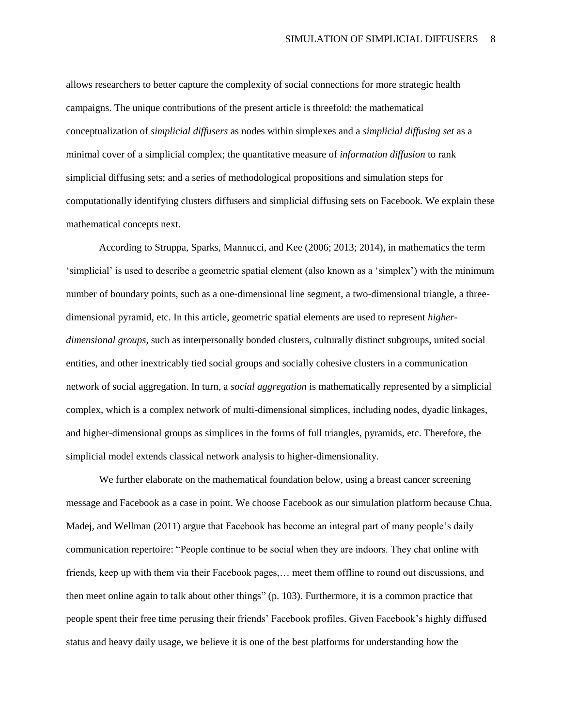allows researchers to better capture the complexity of social connections for more strategic health campaigns. The unique contributions of the present article is threefold: the mathematical conceptualization of *simplicial diffusers* as nodes within simplexes and a *simplicial diffusing set* as a minimal cover of a simplicial complex; the quantitative measure of *information diffusion* to rank simplicial diffusing sets; and a series of methodological propositions and simulation steps for computationally identifying clusters diffusers and simplicial diffusing sets on Facebook. We explain these mathematical concepts next.

According to Struppa, Sparks, Mannucci, and Kee (2006; 2013; 2014), in mathematics the term 'simplicial' is used to describe a geometric spatial element (also known as a 'simplex') with the minimum number of boundary points, such as a one-dimensional line segment, a two-dimensional triangle, a threedimensional pyramid, etc. In this article, geometric spatial elements are used to represent *higherdimensional groups*, such as interpersonally bonded clusters, culturally distinct subgroups, united social entities, and other inextricably tied social groups and socially cohesive clusters in a communication network of social aggregation. In turn, a *social aggregation* is mathematically represented by a simplicial complex, which is a complex network of multi-dimensional simplices, including nodes, dyadic linkages, and higher-dimensional groups as simplices in the forms of full triangles, pyramids, etc. Therefore, the simplicial model extends classical network analysis to higher-dimensionality.

We further elaborate on the mathematical foundation below, using a breast cancer screening message and Facebook as a case in point. We choose Facebook as our simulation platform because Chua, Madej, and Wellman [\(2011\)](#page-37-6) argue that Facebook has become an integral part of many people's daily communication repertoire: "People continue to be social when they are indoors. They chat online with friends, keep up with them via their Facebook pages,… meet them offline to round out discussions, and then meet online again to talk about other things" (p. 103). Furthermore, it is a common practice that people spent their free time perusing their friends' Facebook profiles. Given Facebook's highly diffused status and heavy daily usage, we believe it is one of the best platforms for understanding how the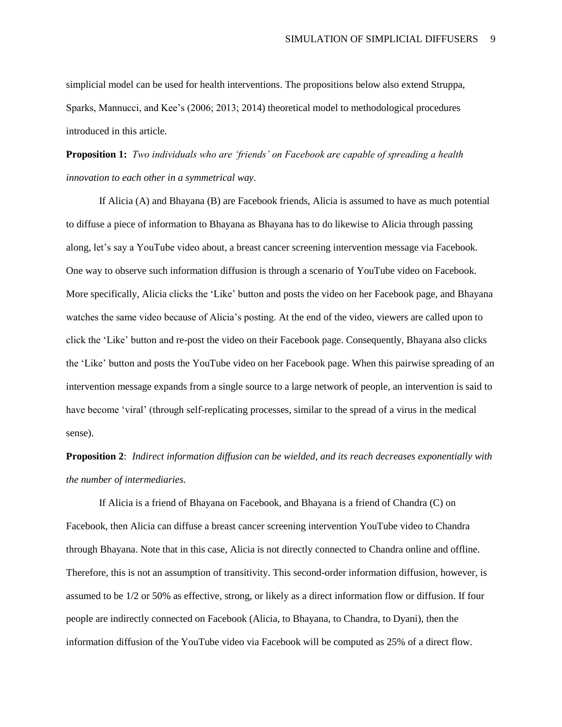simplicial model can be used for health interventions. The propositions below also extend Struppa, Sparks, Mannucci, and Kee's (2006; 2013; 2014) theoretical model to methodological procedures introduced in this article.

**Proposition 1:** *Two individuals who are 'friends' on Facebook are capable of spreading a health innovation to each other in a symmetrical way.* 

If Alicia (A) and Bhayana (B) are Facebook friends, Alicia is assumed to have as much potential to diffuse a piece of information to Bhayana as Bhayana has to do likewise to Alicia through passing along, let's say a YouTube video about, a breast cancer screening intervention message via Facebook. One way to observe such information diffusion is through a scenario of YouTube video on Facebook. More specifically, Alicia clicks the 'Like' button and posts the video on her Facebook page, and Bhayana watches the same video because of Alicia's posting. At the end of the video, viewers are called upon to click the 'Like' button and re-post the video on their Facebook page. Consequently, Bhayana also clicks the 'Like' button and posts the YouTube video on her Facebook page. When this pairwise spreading of an intervention message expands from a single source to a large network of people, an intervention is said to have become 'viral' (through self-replicating processes, similar to the spread of a virus in the medical sense).

**Proposition 2**: *Indirect information diffusion can be wielded, and its reach decreases exponentially with the number of intermediaries.* 

If Alicia is a friend of Bhayana on Facebook, and Bhayana is a friend of Chandra (C) on Facebook, then Alicia can diffuse a breast cancer screening intervention YouTube video to Chandra through Bhayana. Note that in this case, Alicia is not directly connected to Chandra online and offline. Therefore, this is not an assumption of transitivity. This second-order information diffusion, however, is assumed to be 1/2 or 50% as effective, strong, or likely as a direct information flow or diffusion. If four people are indirectly connected on Facebook (Alicia, to Bhayana, to Chandra, to Dyani), then the information diffusion of the YouTube video via Facebook will be computed as 25% of a direct flow.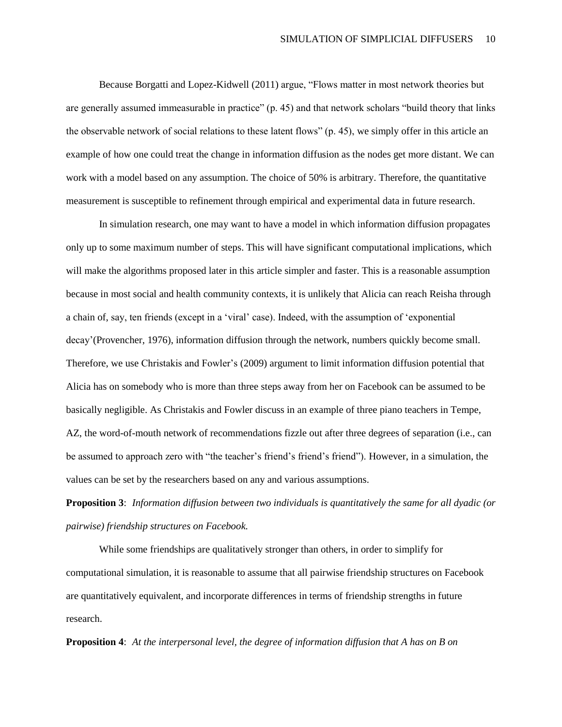Because Borgatti and Lopez-Kidwell [\(2011\)](#page-37-7) argue, "Flows matter in most network theories but are generally assumed immeasurable in practice" (p. 45) and that network scholars "build theory that links the observable network of social relations to these latent flows" (p. 45), we simply offer in this article an example of how one could treat the change in information diffusion as the nodes get more distant. We can work with a model based on any assumption. The choice of 50% is arbitrary. Therefore, the quantitative measurement is susceptible to refinement through empirical and experimental data in future research.

In simulation research, one may want to have a model in which information diffusion propagates only up to some maximum number of steps. This will have significant computational implications, which will make the algorithms proposed later in this article simpler and faster. This is a reasonable assumption because in most social and health community contexts, it is unlikely that Alicia can reach Reisha through a chain of, say, ten friends (except in a 'viral' case). Indeed, with the assumption of 'exponential decay'[\(Provencher, 1976\)](#page-39-14), information diffusion through the network, numbers quickly become small. Therefore, we use Christakis and Fowler's [\(2009\)](#page-37-8) argument to limit information diffusion potential that Alicia has on somebody who is more than three steps away from her on Facebook can be assumed to be basically negligible. As Christakis and Fowler discuss in an example of three piano teachers in Tempe, AZ, the word-of-mouth network of recommendations fizzle out after three degrees of separation (i.e., can be assumed to approach zero with "the teacher's friend's friend's friend"). However, in a simulation, the values can be set by the researchers based on any and various assumptions.

**Proposition 3**: *Information diffusion between two individuals is quantitatively the same for all dyadic (or pairwise) friendship structures on Facebook.* 

While some friendships are qualitatively stronger than others, in order to simplify for computational simulation, it is reasonable to assume that all pairwise friendship structures on Facebook are quantitatively equivalent, and incorporate differences in terms of friendship strengths in future research.

**Proposition 4**: *At the interpersonal level, the degree of information diffusion that A has on B on*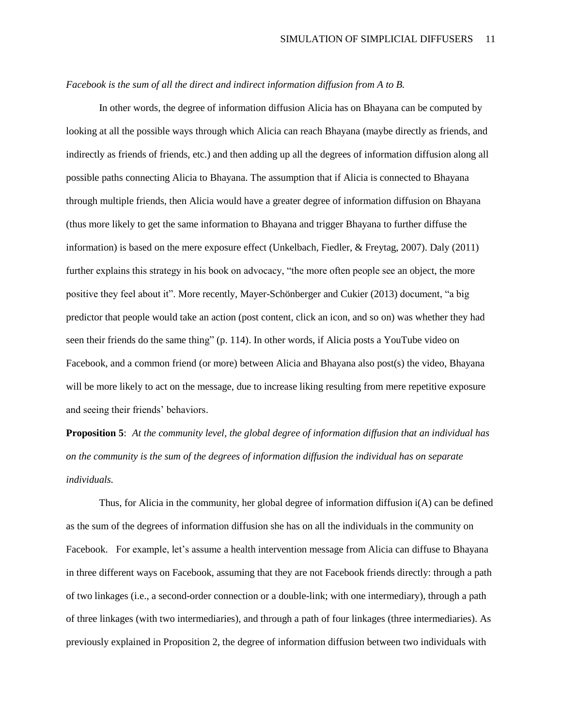#### *Facebook is the sum of all the direct and indirect information diffusion from A to B.*

In other words, the degree of information diffusion Alicia has on Bhayana can be computed by looking at all the possible ways through which Alicia can reach Bhayana (maybe directly as friends, and indirectly as friends of friends, etc.) and then adding up all the degrees of information diffusion along all possible paths connecting Alicia to Bhayana. The assumption that if Alicia is connected to Bhayana through multiple friends, then Alicia would have a greater degree of information diffusion on Bhayana (thus more likely to get the same information to Bhayana and trigger Bhayana to further diffuse the information) is based on the mere exposure effect [\(Unkelbach, Fiedler, & Freytag, 2007\)](#page-39-15). Daly [\(2011\)](#page-37-9) further explains this strategy in his book on advocacy, "the more often people see an object, the more positive they feel about it". More recently, Mayer-Schönberger and Cukier [\(2013\)](#page-39-16) document, "a big predictor that people would take an action (post content, click an icon, and so on) was whether they had seen their friends do the same thing" (p. 114). In other words, if Alicia posts a YouTube video on Facebook, and a common friend (or more) between Alicia and Bhayana also post(s) the video, Bhayana will be more likely to act on the message, due to increase liking resulting from mere repetitive exposure and seeing their friends' behaviors.

**Proposition 5**: *At the community level, the global degree of information diffusion that an individual has on the community is the sum of the degrees of information diffusion the individual has on separate individuals.* 

Thus, for Alicia in the community, her global degree of information diffusion i(A) can be defined as the sum of the degrees of information diffusion she has on all the individuals in the community on Facebook. For example, let's assume a health intervention message from Alicia can diffuse to Bhayana in three different ways on Facebook, assuming that they are not Facebook friends directly: through a path of two linkages (i.e., a second-order connection or a double-link; with one intermediary), through a path of three linkages (with two intermediaries), and through a path of four linkages (three intermediaries). As previously explained in Proposition 2, the degree of information diffusion between two individuals with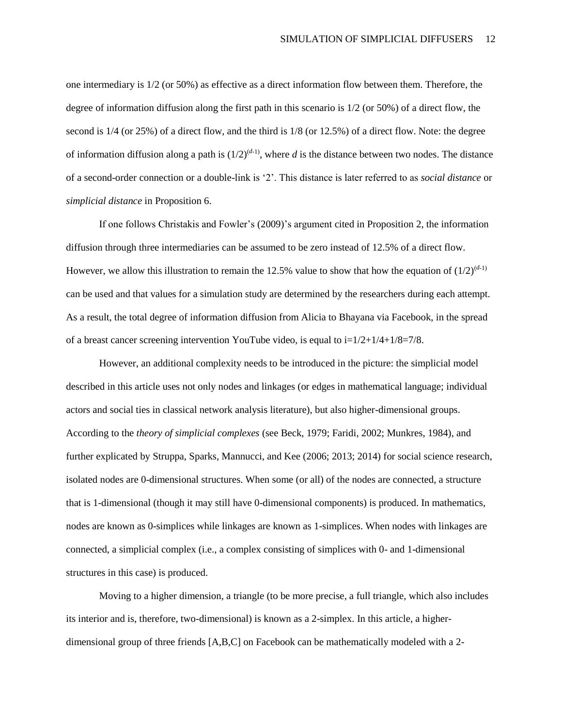one intermediary is 1/2 (or 50%) as effective as a direct information flow between them. Therefore, the degree of information diffusion along the first path in this scenario is 1/2 (or 50%) of a direct flow, the second is 1/4 (or 25%) of a direct flow, and the third is 1/8 (or 12.5%) of a direct flow. Note: the degree of information diffusion along a path is  $(1/2)^{(d-1)}$ , where *d* is the distance between two nodes. The distance of a second-order connection or a double-link is '2'. This distance is later referred to as *social distance* or *simplicial distance* in Proposition 6.

If one follows Christakis and Fowler's [\(2009\)](#page-37-8)'s argument cited in Proposition 2, the information diffusion through three intermediaries can be assumed to be zero instead of 12.5% of a direct flow. However, we allow this illustration to remain the 12.5% value to show that how the equation of  $(1/2)^{(d-1)}$ can be used and that values for a simulation study are determined by the researchers during each attempt. As a result, the total degree of information diffusion from Alicia to Bhayana via Facebook, in the spread of a breast cancer screening intervention YouTube video, is equal to  $i=1/2+1/4+1/8=7/8$ .

However, an additional complexity needs to be introduced in the picture: the simplicial model described in this article uses not only nodes and linkages (or edges in mathematical language; individual actors and social ties in classical network analysis literature), but also higher-dimensional groups. According to the *theory of simplicial complexes* (see [Beck, 1979;](#page-37-4) [Faridi, 2002;](#page-38-9) [Munkres, 1984\)](#page-39-12), and further explicated by Struppa, Sparks, Mannucci, and Kee (2006; 2013; 2014) for social science research, isolated nodes are 0-dimensional structures. When some (or all) of the nodes are connected, a structure that is 1-dimensional (though it may still have 0-dimensional components) is produced. In mathematics, nodes are known as 0-simplices while linkages are known as 1-simplices. When nodes with linkages are connected, a simplicial complex (i.e., a complex consisting of simplices with 0- and 1-dimensional structures in this case) is produced.

Moving to a higher dimension, a triangle (to be more precise, a full triangle, which also includes its interior and is, therefore, two-dimensional) is known as a 2-simplex. In this article, a higherdimensional group of three friends [A,B,C] on Facebook can be mathematically modeled with a 2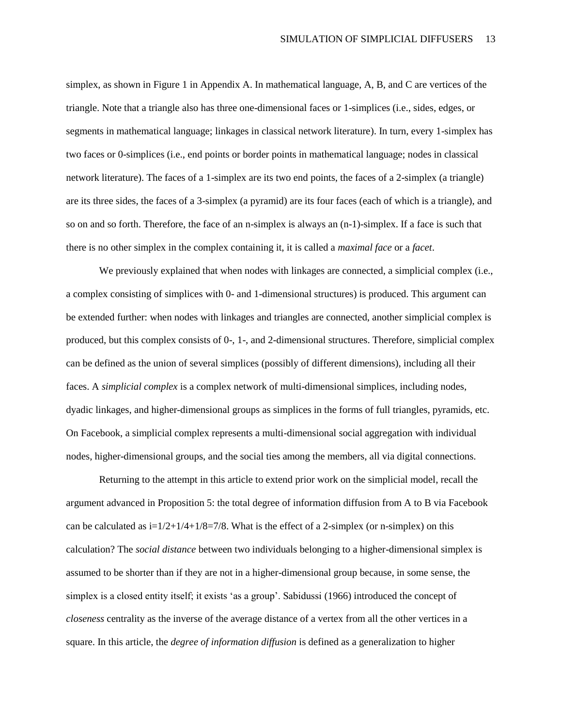simplex, as shown in Figure 1 in Appendix A. In mathematical language, A, B, and C are vertices of the triangle. Note that a triangle also has three one-dimensional faces or 1-simplices (i.e., sides, edges, or segments in mathematical language; linkages in classical network literature). In turn, every 1-simplex has two faces or 0-simplices (i.e., end points or border points in mathematical language; nodes in classical network literature). The faces of a 1-simplex are its two end points, the faces of a 2-simplex (a triangle) are its three sides, the faces of a 3-simplex (a pyramid) are its four faces (each of which is a triangle), and so on and so forth. Therefore, the face of an n-simplex is always an (n-1)-simplex. If a face is such that there is no other simplex in the complex containing it, it is called a *maximal face* or a *facet*.

We previously explained that when nodes with linkages are connected, a simplicial complex (i.e., a complex consisting of simplices with 0- and 1-dimensional structures) is produced. This argument can be extended further: when nodes with linkages and triangles are connected, another simplicial complex is produced, but this complex consists of 0-, 1-, and 2-dimensional structures. Therefore, simplicial complex can be defined as the union of several simplices (possibly of different dimensions), including all their faces. A *simplicial complex* is a complex network of multi-dimensional simplices, including nodes, dyadic linkages, and higher-dimensional groups as simplices in the forms of full triangles, pyramids, etc. On Facebook, a simplicial complex represents a multi-dimensional social aggregation with individual nodes, higher-dimensional groups, and the social ties among the members, all via digital connections.

Returning to the attempt in this article to extend prior work on the simplicial model, recall the argument advanced in Proposition 5: the total degree of information diffusion from A to B via Facebook can be calculated as  $i=1/2+1/4+1/8=7/8$ . What is the effect of a 2-simplex (or n-simplex) on this calculation? The *social distance* between two individuals belonging to a higher-dimensional simplex is assumed to be shorter than if they are not in a higher-dimensional group because, in some sense, the simplex is a closed entity itself; it exists 'as a group'. Sabidussi [\(1966\)](#page-39-17) introduced the concept of *closeness* centrality as the inverse of the average distance of a vertex from all the other vertices in a square. In this article, the *degree of information diffusion* is defined as a generalization to higher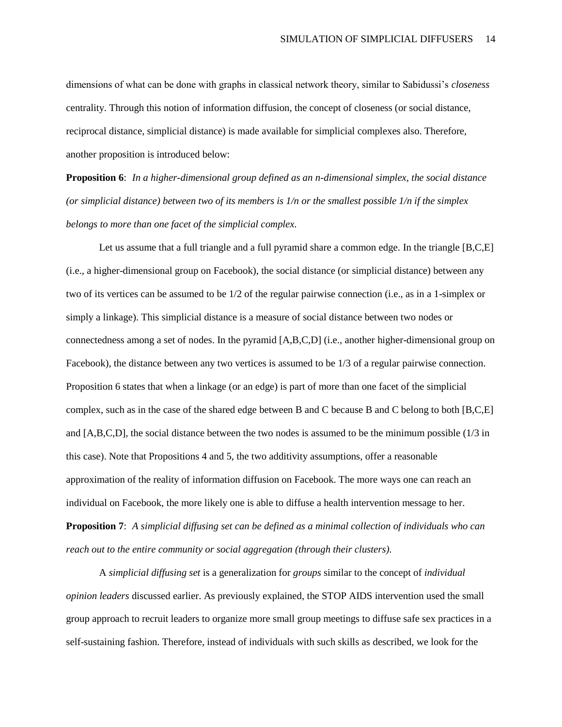dimensions of what can be done with graphs in classical network theory, similar to Sabidussi's *closeness* centrality. Through this notion of information diffusion, the concept of closeness (or social distance, reciprocal distance, simplicial distance) is made available for simplicial complexes also. Therefore, another proposition is introduced below:

**Proposition 6**: *In a higher-dimensional group defined as an n-dimensional simplex, the social distance (or simplicial distance) between two of its members is 1/n or the smallest possible 1/n if the simplex belongs to more than one facet of the simplicial complex.*

Let us assume that a full triangle and a full pyramid share a common edge. In the triangle [B,C,E] (i.e., a higher-dimensional group on Facebook), the social distance (or simplicial distance) between any two of its vertices can be assumed to be 1/2 of the regular pairwise connection (i.e., as in a 1-simplex or simply a linkage). This simplicial distance is a measure of social distance between two nodes or connectedness among a set of nodes. In the pyramid [A,B,C,D] (i.e., another higher-dimensional group on Facebook), the distance between any two vertices is assumed to be 1/3 of a regular pairwise connection. Proposition 6 states that when a linkage (or an edge) is part of more than one facet of the simplicial complex, such as in the case of the shared edge between B and C because B and C belong to both [B,C,E] and [A,B,C,D], the social distance between the two nodes is assumed to be the minimum possible (1/3 in this case). Note that Propositions 4 and 5, the two additivity assumptions, offer a reasonable approximation of the reality of information diffusion on Facebook. The more ways one can reach an individual on Facebook, the more likely one is able to diffuse a health intervention message to her. **Proposition 7**: *A simplicial diffusing set can be defined as a minimal collection of individuals who can reach out to the entire community or social aggregation (through their clusters).* 

A *simplicial diffusing set* is a generalization for *groups* similar to the concept of *individual opinion leaders* discussed earlier. As previously explained, the STOP AIDS intervention used the small group approach to recruit leaders to organize more small group meetings to diffuse safe sex practices in a self-sustaining fashion. Therefore, instead of individuals with such skills as described, we look for the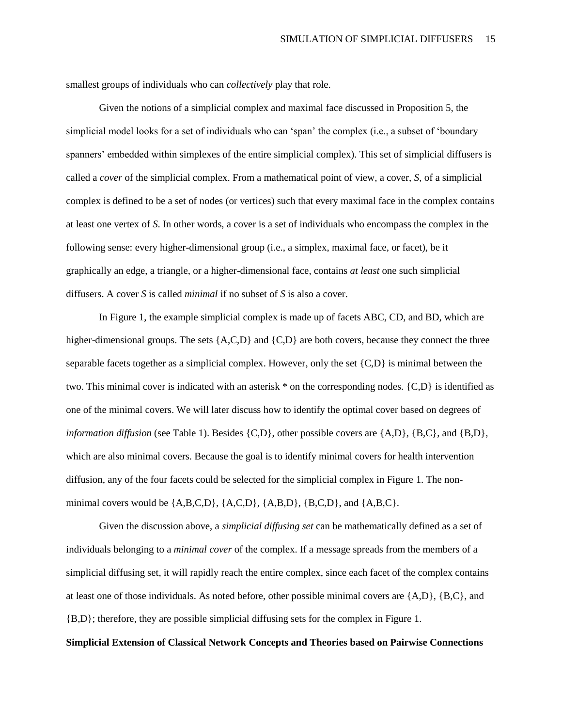smallest groups of individuals who can *collectively* play that role.

Given the notions of a simplicial complex and maximal face discussed in Proposition 5, the simplicial model looks for a set of individuals who can 'span' the complex (i.e., a subset of 'boundary spanners' embedded within simplexes of the entire simplicial complex). This set of simplicial diffusers is called a *cover* of the simplicial complex. From a mathematical point of view, a cover, *S*, of a simplicial complex is defined to be a set of nodes (or vertices) such that every maximal face in the complex contains at least one vertex of *S*. In other words, a cover is a set of individuals who encompass the complex in the following sense: every higher-dimensional group (i.e., a simplex, maximal face, or facet), be it graphically an edge, a triangle, or a higher-dimensional face, contains *at least* one such simplicial diffusers. A cover *S* is called *minimal* if no subset of *S* is also a cover.

In Figure 1, the example simplicial complex is made up of facets ABC, CD, and BD, which are higher-dimensional groups. The sets  ${A, C, D}$  and  ${C, D}$  are both covers, because they connect the three separable facets together as a simplicial complex. However, only the set {C,D} is minimal between the two. This minimal cover is indicated with an asterisk \* on the corresponding nodes. {C,D} is identified as one of the minimal covers. We will later discuss how to identify the optimal cover based on degrees of *information diffusion* (see Table 1). Besides {C,D}, other possible covers are {A,D}, {B,C}, and {B,D}, which are also minimal covers. Because the goal is to identify minimal covers for health intervention diffusion, any of the four facets could be selected for the simplicial complex in Figure 1. The nonminimal covers would be  $\{A,B,C,D\}$ ,  $\{A,C,D\}$ ,  $\{A,B,D\}$ ,  $\{B,C,D\}$ , and  $\{A,B,C\}$ .

Given the discussion above, a *simplicial diffusing set* can be mathematically defined as a set of individuals belonging to a *minimal cover* of the complex. If a message spreads from the members of a simplicial diffusing set, it will rapidly reach the entire complex, since each facet of the complex contains at least one of those individuals. As noted before, other possible minimal covers are {A,D}, {B,C}, and {B,D}; therefore, they are possible simplicial diffusing sets for the complex in Figure 1.

## **Simplicial Extension of Classical Network Concepts and Theories based on Pairwise Connections**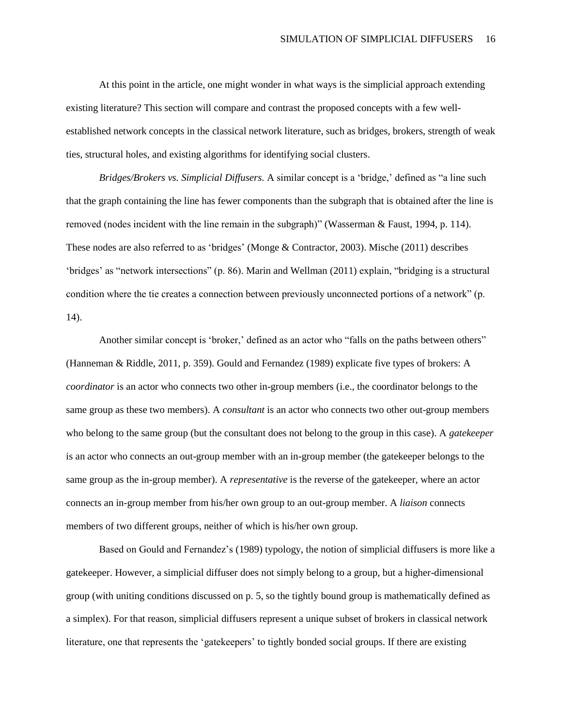At this point in the article, one might wonder in what ways is the simplicial approach extending existing literature? This section will compare and contrast the proposed concepts with a few wellestablished network concepts in the classical network literature, such as bridges, brokers, strength of weak ties, structural holes, and existing algorithms for identifying social clusters.

*Bridges/Brokers vs. Simplicial Diffusers.* A similar concept is a 'bridge,' defined as "a line such that the graph containing the line has fewer components than the subgraph that is obtained after the line is removed (nodes incident with the line remain in the subgraph)" [\(Wasserman & Faust, 1994, p. 114\)](#page-40-8). These nodes are also referred to as 'bridges' [\(Monge & Contractor, 2003\)](#page-39-18). Mische [\(2011\)](#page-39-19) describes 'bridges' as "network intersections" (p. 86). Marin and Wellman [\(2011\)](#page-39-20) explain, "bridging is a structural condition where the tie creates a connection between previously unconnected portions of a network" (p. 14).

Another similar concept is 'broker,' defined as an actor who "falls on the paths between others" (Hanneman & Riddle, 2011, p. 359). Gould and Fernandez [\(1989\)](#page-38-10) explicate five types of brokers: A *coordinator* is an actor who connects two other in-group members (i.e., the coordinator belongs to the same group as these two members). A *consultant* is an actor who connects two other out-group members who belong to the same group (but the consultant does not belong to the group in this case). A *gatekeeper* is an actor who connects an out-group member with an in-group member (the gatekeeper belongs to the same group as the in-group member). A *representative* is the reverse of the gatekeeper, where an actor connects an in-group member from his/her own group to an out-group member. A *liaison* connects members of two different groups, neither of which is his/her own group.

Based on Gould and Fernandez's [\(1989\)](#page-38-10) typology, the notion of simplicial diffusers is more like a gatekeeper. However, a simplicial diffuser does not simply belong to a group, but a higher-dimensional group (with uniting conditions discussed on p. 5, so the tightly bound group is mathematically defined as a simplex). For that reason, simplicial diffusers represent a unique subset of brokers in classical network literature, one that represents the 'gatekeepers' to tightly bonded social groups. If there are existing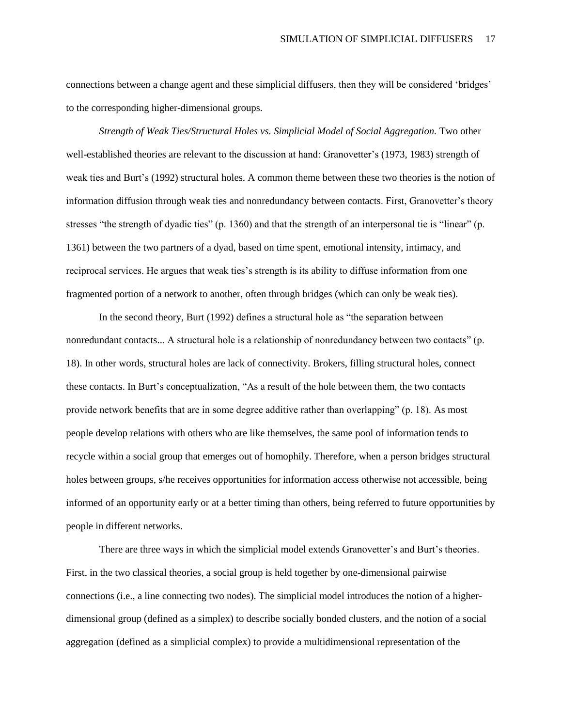connections between a change agent and these simplicial diffusers, then they will be considered 'bridges' to the corresponding higher-dimensional groups.

*Strength of Weak Ties/Structural Holes vs. Simplicial Model of Social Aggregation.* Two other well-established theories are relevant to the discussion at hand: Granovetter's [\(1973,](#page-38-7) [1983\)](#page-38-11) strength of weak ties and Burt's [\(1992\)](#page-37-10) structural holes. A common theme between these two theories is the notion of information diffusion through weak ties and nonredundancy between contacts. First, Granovetter's theory stresses "the strength of dyadic ties" (p. 1360) and that the strength of an interpersonal tie is "linear" (p. 1361) between the two partners of a dyad, based on time spent, emotional intensity, intimacy, and reciprocal services. He argues that weak ties's strength is its ability to diffuse information from one fragmented portion of a network to another, often through bridges (which can only be weak ties).

In the second theory, Burt [\(1992\)](#page-37-10) defines a structural hole as "the separation between nonredundant contacts... A structural hole is a relationship of nonredundancy between two contacts" (p. 18). In other words, structural holes are lack of connectivity. Brokers, filling structural holes, connect these contacts. In Burt's conceptualization, "As a result of the hole between them, the two contacts provide network benefits that are in some degree additive rather than overlapping" (p. 18). As most people develop relations with others who are like themselves, the same pool of information tends to recycle within a social group that emerges out of homophily. Therefore, when a person bridges structural holes between groups, s/he receives opportunities for information access otherwise not accessible, being informed of an opportunity early or at a better timing than others, being referred to future opportunities by people in different networks.

There are three ways in which the simplicial model extends Granovetter's and Burt's theories. First, in the two classical theories, a social group is held together by one-dimensional pairwise connections (i.e., a line connecting two nodes). The simplicial model introduces the notion of a higherdimensional group (defined as a simplex) to describe socially bonded clusters, and the notion of a social aggregation (defined as a simplicial complex) to provide a multidimensional representation of the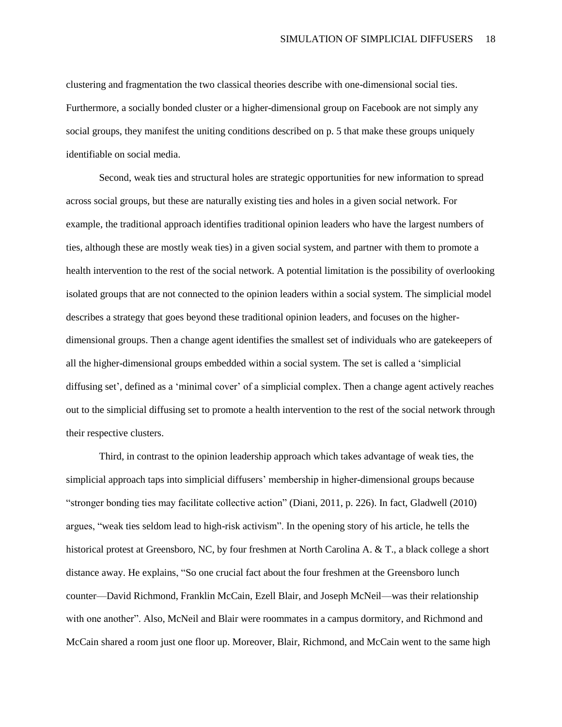clustering and fragmentation the two classical theories describe with one-dimensional social ties. Furthermore, a socially bonded cluster or a higher-dimensional group on Facebook are not simply any social groups, they manifest the uniting conditions described on p. 5 that make these groups uniquely identifiable on social media.

Second, weak ties and structural holes are strategic opportunities for new information to spread across social groups, but these are naturally existing ties and holes in a given social network. For example, the traditional approach identifies traditional opinion leaders who have the largest numbers of ties, although these are mostly weak ties) in a given social system, and partner with them to promote a health intervention to the rest of the social network. A potential limitation is the possibility of overlooking isolated groups that are not connected to the opinion leaders within a social system. The simplicial model describes a strategy that goes beyond these traditional opinion leaders, and focuses on the higherdimensional groups. Then a change agent identifies the smallest set of individuals who are gatekeepers of all the higher-dimensional groups embedded within a social system. The set is called a 'simplicial diffusing set', defined as a 'minimal cover' of a simplicial complex. Then a change agent actively reaches out to the simplicial diffusing set to promote a health intervention to the rest of the social network through their respective clusters.

Third, in contrast to the opinion leadership approach which takes advantage of weak ties, the simplicial approach taps into simplicial diffusers' membership in higher-dimensional groups because "stronger bonding ties may facilitate collective action" [\(Diani, 2011, p. 226\)](#page-38-12). In fact, Gladwell [\(2010\)](#page-38-13) argues, "weak ties seldom lead to high-risk activism". In the opening story of his article, he tells the historical protest at Greensboro, NC, by four freshmen at North Carolina A. & T., a black college a short distance away. He explains, "So one crucial fact about the four freshmen at the Greensboro lunch counter—David Richmond, Franklin McCain, Ezell Blair, and Joseph McNeil—was their relationship with one another". Also, McNeil and Blair were roommates in a campus dormitory, and Richmond and McCain shared a room just one floor up. Moreover, Blair, Richmond, and McCain went to the same high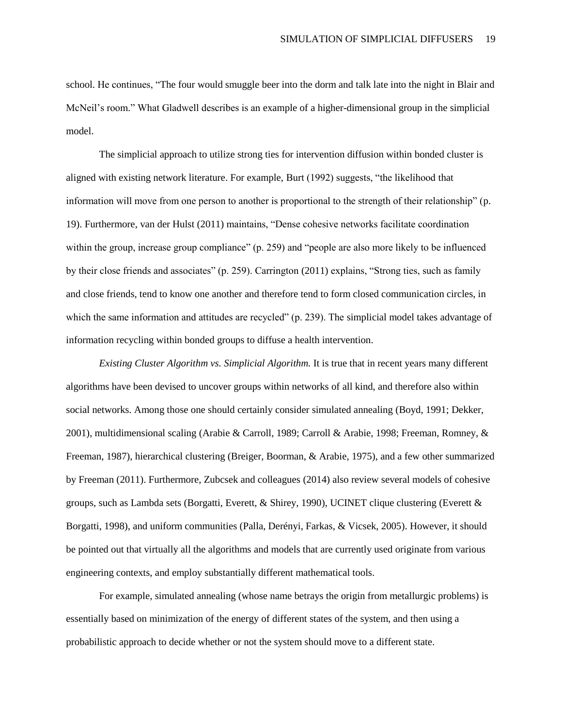school. He continues, "The four would smuggle beer into the dorm and talk late into the night in Blair and McNeil's room." What Gladwell describes is an example of a higher-dimensional group in the simplicial model.

The simplicial approach to utilize strong ties for intervention diffusion within bonded cluster is aligned with existing network literature. For example, Burt (1992) suggests, "the likelihood that information will move from one person to another is proportional to the strength of their relationship" (p. 19). Furthermore, van der Hulst [\(2011\)](#page-40-9) maintains, "Dense cohesive networks facilitate coordination within the group, increase group compliance" (p. 259) and "people are also more likely to be influenced by their close friends and associates" (p. 259). Carrington [\(2011\)](#page-37-11) explains, "Strong ties, such as family and close friends, tend to know one another and therefore tend to form closed communication circles, in which the same information and attitudes are recycled" (p. 239). The simplicial model takes advantage of information recycling within bonded groups to diffuse a health intervention.

*Existing Cluster Algorithm vs. Simplicial Algorithm.* It is true that in recent years many different algorithms have been devised to uncover groups within networks of all kind, and therefore also within social networks. Among those one should certainly consider simulated annealing [\(Boyd, 1991;](#page-37-12) [Dekker,](#page-38-14)  [2001\)](#page-38-14), multidimensional scaling [\(Arabie & Carroll, 1989;](#page-37-13) [Carroll & Arabie, 1998;](#page-37-14) [Freeman, Romney, &](#page-38-15)  [Freeman, 1987\)](#page-38-15), hierarchical clustering [\(Breiger, Boorman, & Arabie, 1975\)](#page-37-15), and a few other summarized by Freeman [\(2011\)](#page-38-16). Furthermore, Zubcsek and colleagues [\(2014\)](#page-40-6) also review several models of cohesive groups, such as Lambda sets [\(Borgatti, Everett, & Shirey, 1990\)](#page-37-16), UCINET clique clustering [\(Everett &](#page-38-17)  [Borgatti, 1998\)](#page-38-17), and uniform communities [\(Palla, Derényi, Farkas, & Vicsek, 2005\)](#page-39-21). However, it should be pointed out that virtually all the algorithms and models that are currently used originate from various engineering contexts, and employ substantially different mathematical tools.

For example, simulated annealing (whose name betrays the origin from metallurgic problems) is essentially based on minimization of the energy of different states of the system, and then using a probabilistic approach to decide whether or not the system should move to a different state.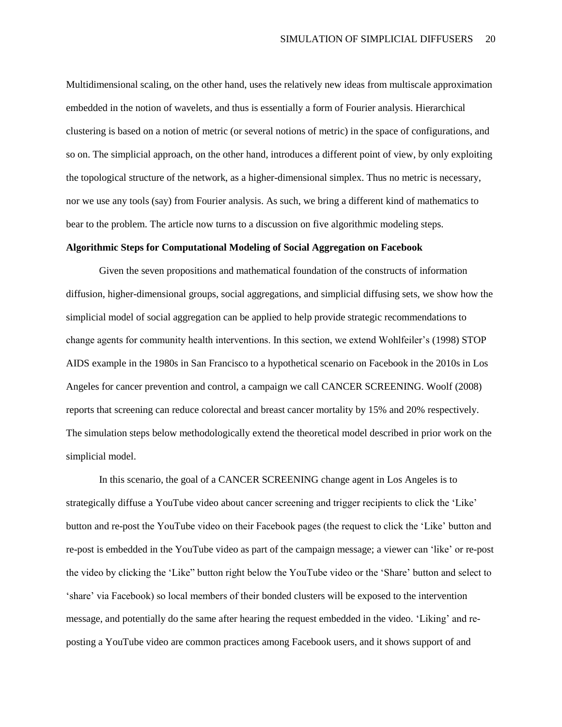Multidimensional scaling, on the other hand, uses the relatively new ideas from multiscale approximation embedded in the notion of wavelets, and thus is essentially a form of Fourier analysis. Hierarchical clustering is based on a notion of metric (or several notions of metric) in the space of configurations, and so on. The simplicial approach, on the other hand, introduces a different point of view, by only exploiting the topological structure of the network, as a higher-dimensional simplex. Thus no metric is necessary, nor we use any tools (say) from Fourier analysis. As such, we bring a different kind of mathematics to bear to the problem. The article now turns to a discussion on five algorithmic modeling steps.

# **Algorithmic Steps for Computational Modeling of Social Aggregation on Facebook**

Given the seven propositions and mathematical foundation of the constructs of information diffusion, higher-dimensional groups, social aggregations, and simplicial diffusing sets, we show how the simplicial model of social aggregation can be applied to help provide strategic recommendations to change agents for community health interventions. In this section, we extend Wohlfeiler's [\(1998\)](#page-40-0) STOP AIDS example in the 1980s in San Francisco to a hypothetical scenario on Facebook in the 2010s in Los Angeles for cancer prevention and control, a campaign we call CANCER SCREENING. Woolf [\(2008\)](#page-40-1) reports that screening can reduce colorectal and breast cancer mortality by 15% and 20% respectively. The simulation steps below methodologically extend the theoretical model described in prior work on the simplicial model.

In this scenario, the goal of a CANCER SCREENING change agent in Los Angeles is to strategically diffuse a YouTube video about cancer screening and trigger recipients to click the 'Like' button and re-post the YouTube video on their Facebook pages (the request to click the 'Like' button and re-post is embedded in the YouTube video as part of the campaign message; a viewer can 'like' or re-post the video by clicking the 'Like" button right below the YouTube video or the 'Share' button and select to 'share' via Facebook) so local members of their bonded clusters will be exposed to the intervention message, and potentially do the same after hearing the request embedded in the video. 'Liking' and reposting a YouTube video are common practices among Facebook users, and it shows support of and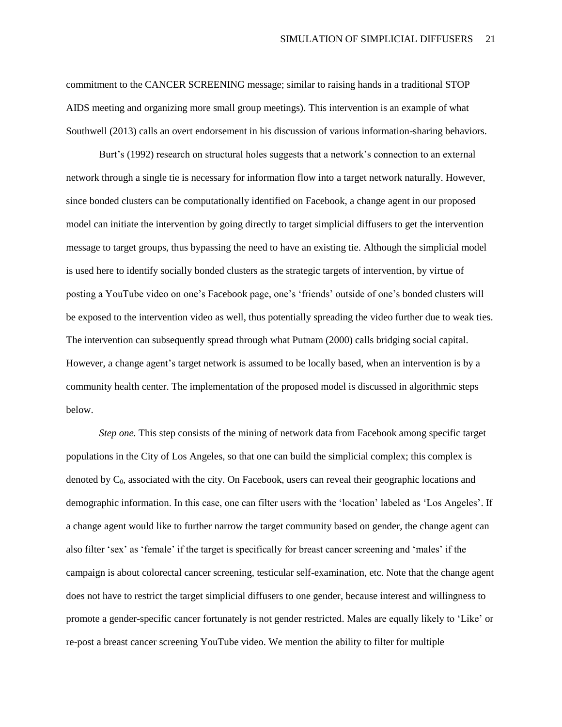commitment to the CANCER SCREENING message; similar to raising hands in a traditional STOP AIDS meeting and organizing more small group meetings). This intervention is an example of what Southwell [\(2013\)](#page-39-8) calls an overt endorsement in his discussion of various information-sharing behaviors.

Burt's [\(1992\)](#page-37-10) research on structural holes suggests that a network's connection to an external network through a single tie is necessary for information flow into a target network naturally. However, since bonded clusters can be computationally identified on Facebook, a change agent in our proposed model can initiate the intervention by going directly to target simplicial diffusers to get the intervention message to target groups, thus bypassing the need to have an existing tie. Although the simplicial model is used here to identify socially bonded clusters as the strategic targets of intervention, by virtue of posting a YouTube video on one's Facebook page, one's 'friends' outside of one's bonded clusters will be exposed to the intervention video as well, thus potentially spreading the video further due to weak ties. The intervention can subsequently spread through what Putnam [\(2000\)](#page-39-9) calls bridging social capital. However, a change agent's target network is assumed to be locally based, when an intervention is by a community health center. The implementation of the proposed model is discussed in algorithmic steps below.

*Step one.* This step consists of the mining of network data from Facebook among specific target populations in the City of Los Angeles, so that one can build the simplicial complex; this complex is denoted by  $C<sub>0</sub>$ , associated with the city. On Facebook, users can reveal their geographic locations and demographic information. In this case, one can filter users with the 'location' labeled as 'Los Angeles'. If a change agent would like to further narrow the target community based on gender, the change agent can also filter 'sex' as 'female' if the target is specifically for breast cancer screening and 'males' if the campaign is about colorectal cancer screening, testicular self-examination, etc. Note that the change agent does not have to restrict the target simplicial diffusers to one gender, because interest and willingness to promote a gender-specific cancer fortunately is not gender restricted. Males are equally likely to 'Like' or re-post a breast cancer screening YouTube video. We mention the ability to filter for multiple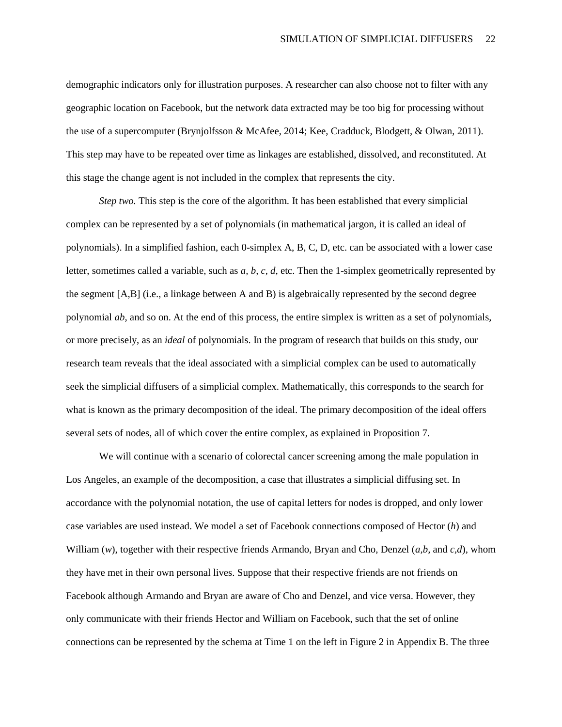demographic indicators only for illustration purposes. A researcher can also choose not to filter with any geographic location on Facebook, but the network data extracted may be too big for processing without the use of a supercomputer [\(Brynjolfsson & McAfee, 2014;](#page-37-17) [Kee, Cradduck, Blodgett, & Olwan, 2011\)](#page-38-18). This step may have to be repeated over time as linkages are established, dissolved, and reconstituted. At this stage the change agent is not included in the complex that represents the city.

*Step two.* This step is the core of the algorithm. It has been established that every simplicial complex can be represented by a set of polynomials (in mathematical jargon, it is called an ideal of polynomials). In a simplified fashion, each 0-simplex A, B, C, D, etc. can be associated with a lower case letter, sometimes called a variable, such as *a, b, c, d*, etc. Then the 1-simplex geometrically represented by the segment [A,B] (i.e., a linkage between A and B) is algebraically represented by the second degree polynomial *ab*, and so on. At the end of this process, the entire simplex is written as a set of polynomials, or more precisely, as an *ideal* of polynomials. In the program of research that builds on this study, our research team reveals that the ideal associated with a simplicial complex can be used to automatically seek the simplicial diffusers of a simplicial complex. Mathematically, this corresponds to the search for what is known as the primary decomposition of the ideal. The primary decomposition of the ideal offers several sets of nodes, all of which cover the entire complex, as explained in Proposition 7.

We will continue with a scenario of colorectal cancer screening among the male population in Los Angeles, an example of the decomposition, a case that illustrates a simplicial diffusing set. In accordance with the polynomial notation, the use of capital letters for nodes is dropped, and only lower case variables are used instead. We model a set of Facebook connections composed of Hector (*h*) and William (*w*), together with their respective friends Armando, Bryan and Cho, Denzel (*a,b,* and *c,d*), whom they have met in their own personal lives. Suppose that their respective friends are not friends on Facebook although Armando and Bryan are aware of Cho and Denzel, and vice versa. However, they only communicate with their friends Hector and William on Facebook, such that the set of online connections can be represented by the schema at Time 1 on the left in Figure 2 in Appendix B. The three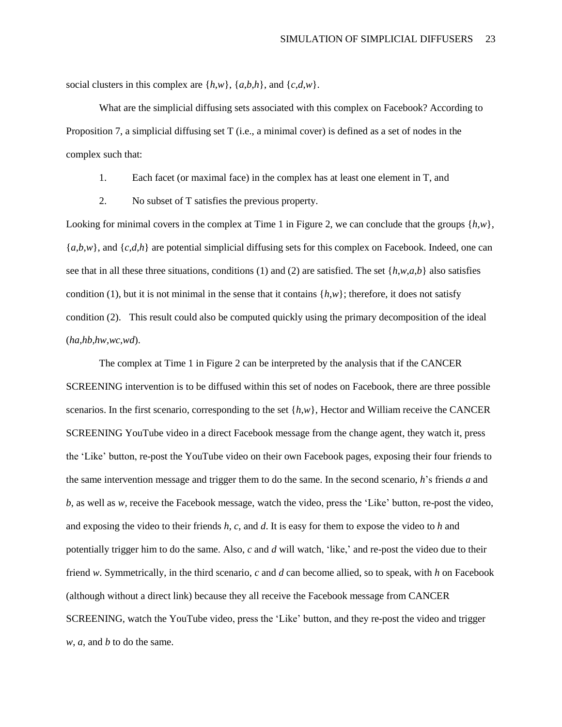social clusters in this complex are  $\{h, w\}$ ,  $\{a, b, h\}$ , and  $\{c, d, w\}$ .

What are the simplicial diffusing sets associated with this complex on Facebook? According to Proposition 7, a simplicial diffusing set T (i.e., a minimal cover) is defined as a set of nodes in the complex such that:

1. Each facet (or maximal face) in the complex has at least one element in T, and

2. No subset of T satisfies the previous property.

Looking for minimal covers in the complex at Time 1 in Figure 2, we can conclude that the groups  $\{h, w\}$ ,  ${a,b,w}$ , and  ${c,d,h}$  are potential simplicial diffusing sets for this complex on Facebook. Indeed, one can see that in all these three situations, conditions (1) and (2) are satisfied. The set  $\{h, w, a, b\}$  also satisfies condition (1), but it is not minimal in the sense that it contains  $\{h, w\}$ ; therefore, it does not satisfy condition (2). This result could also be computed quickly using the primary decomposition of the ideal (*ha,hb,hw,wc,wd*).

The complex at Time 1 in Figure 2 can be interpreted by the analysis that if the CANCER SCREENING intervention is to be diffused within this set of nodes on Facebook, there are three possible scenarios. In the first scenario, corresponding to the set  $\{h, w\}$ , Hector and William receive the CANCER SCREENING YouTube video in a direct Facebook message from the change agent, they watch it, press the 'Like' button, re-post the YouTube video on their own Facebook pages, exposing their four friends to the same intervention message and trigger them to do the same. In the second scenario, *h*'s friends *a* and *b*, as well as *w,* receive the Facebook message, watch the video, press the 'Like' button, re-post the video, and exposing the video to their friends *h*, *c*, and *d*. It is easy for them to expose the video to *h* and potentially trigger him to do the same. Also, *c* and *d* will watch, 'like,' and re-post the video due to their friend *w*. Symmetrically, in the third scenario, *c* and *d* can become allied, so to speak, with *h* on Facebook (although without a direct link) because they all receive the Facebook message from CANCER SCREENING, watch the YouTube video, press the 'Like' button, and they re-post the video and trigger *w*, *a,* and *b* to do the same.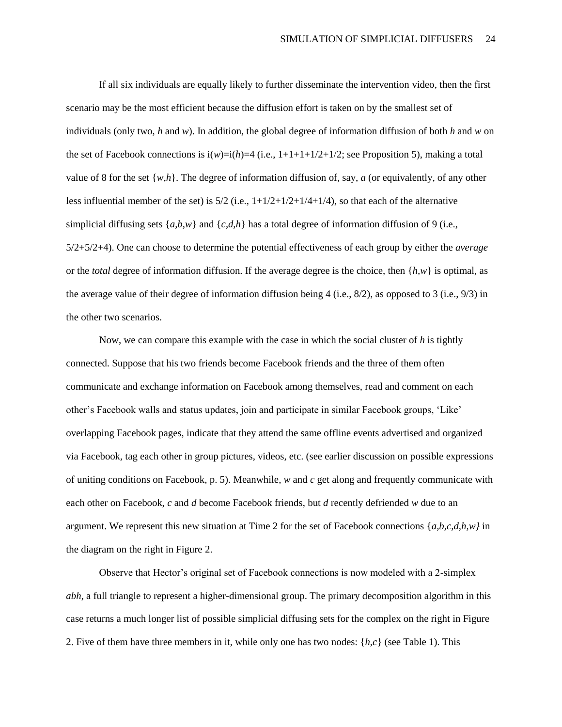If all six individuals are equally likely to further disseminate the intervention video, then the first scenario may be the most efficient because the diffusion effort is taken on by the smallest set of individuals (only two, *h* and *w*). In addition, the global degree of information diffusion of both *h* and *w* on the set of Facebook connections is  $i(w)=i(h)=4$  (i.e.,  $1+1+1+1/2+1/2$ ; see Proposition 5), making a total value of 8 for the set  $\{w,h\}$ . The degree of information diffusion of, say, *a* (or equivalently, of any other less influential member of the set) is  $5/2$  (i.e.,  $1+1/2+1/2+1/4+1/4$ ), so that each of the alternative simplicial diffusing sets  $\{a,b,w\}$  and  $\{c,d,h\}$  has a total degree of information diffusion of 9 (i.e., 5/2+5/2+4). One can choose to determine the potential effectiveness of each group by either the *average* or the *total* degree of information diffusion. If the average degree is the choice, then  $\{h, w\}$  is optimal, as the average value of their degree of information diffusion being 4 (i.e., 8/2), as opposed to 3 (i.e., 9/3) in the other two scenarios.

Now, we can compare this example with the case in which the social cluster of *h* is tightly connected. Suppose that his two friends become Facebook friends and the three of them often communicate and exchange information on Facebook among themselves, read and comment on each other's Facebook walls and status updates, join and participate in similar Facebook groups, 'Like' overlapping Facebook pages, indicate that they attend the same offline events advertised and organized via Facebook, tag each other in group pictures, videos, etc. (see earlier discussion on possible expressions of uniting conditions on Facebook, p. 5). Meanwhile, *w* and *c* get along and frequently communicate with each other on Facebook, *c* and *d* become Facebook friends, but *d* recently defriended *w* due to an argument. We represent this new situation at Time 2 for the set of Facebook connections {*a,b,c,d,h,w}* in the diagram on the right in Figure 2.

Observe that Hector's original set of Facebook connections is now modeled with a 2-simplex *abh*, a full triangle to represent a higher-dimensional group. The primary decomposition algorithm in this case returns a much longer list of possible simplicial diffusing sets for the complex on the right in Figure 2. Five of them have three members in it, while only one has two nodes: {*h*,*c*} (see Table 1). This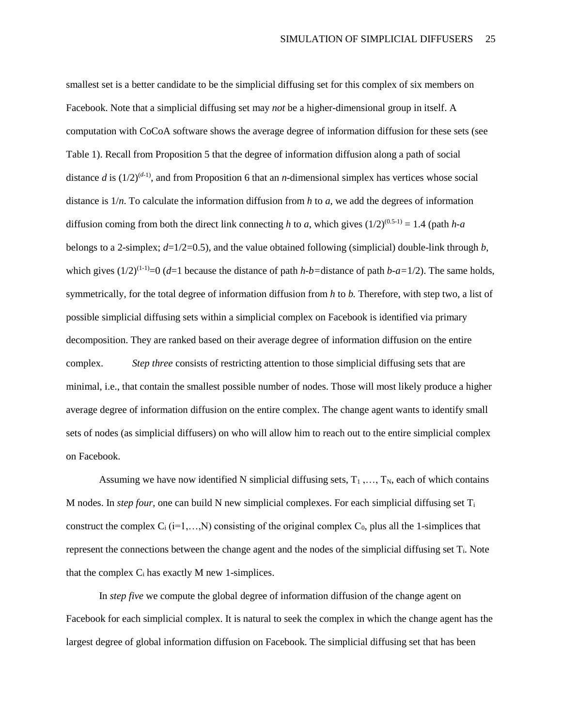smallest set is a better candidate to be the simplicial diffusing set for this complex of six members on Facebook. Note that a simplicial diffusing set may *not* be a higher-dimensional group in itself. A computation with CoCoA software shows the average degree of information diffusion for these sets (see Table 1). Recall from Proposition 5 that the degree of information diffusion along a path of social distance *d* is  $(1/2)^{(d-1)}$ , and from Proposition 6 that an *n*-dimensional simplex has vertices whose social distance is 1/*n*. To calculate the information diffusion from *h* to *a,* we add the degrees of information diffusion coming from both the direct link connecting *h* to *a*, which gives  $(1/2)^{(0.5-1)} = 1.4$  (path *h-a* belongs to a 2-simplex;  $d=1/2=0.5$ ), and the value obtained following (simplicial) double-link through *b*, which gives  $(1/2)^{(1-1)}=0$  (*d*=1 because the distance of path *h*-*b*=distance of path *b*-*a*=1/2). The same holds, symmetrically, for the total degree of information diffusion from *h* to *b.* Therefore, with step two, a list of possible simplicial diffusing sets within a simplicial complex on Facebook is identified via primary decomposition. They are ranked based on their average degree of information diffusion on the entire complex. *Step three* consists of restricting attention to those simplicial diffusing sets that are minimal, i.e., that contain the smallest possible number of nodes. Those will most likely produce a higher average degree of information diffusion on the entire complex. The change agent wants to identify small sets of nodes (as simplicial diffusers) on who will allow him to reach out to the entire simplicial complex on Facebook.

Assuming we have now identified N simplicial diffusing sets,  $T_1$ ,...,  $T_N$ , each of which contains M nodes. In *step four*, one can build N new simplicial complexes. For each simplicial diffusing set T<sup>i</sup> construct the complex  $C_i$  (i=1,...,N) consisting of the original complex  $C_0$ , plus all the 1-simplices that represent the connections between the change agent and the nodes of the simplicial diffusing set Ti. Note that the complex  $C_i$  has exactly M new 1-simplices.

In *step five* we compute the global degree of information diffusion of the change agent on Facebook for each simplicial complex. It is natural to seek the complex in which the change agent has the largest degree of global information diffusion on Facebook. The simplicial diffusing set that has been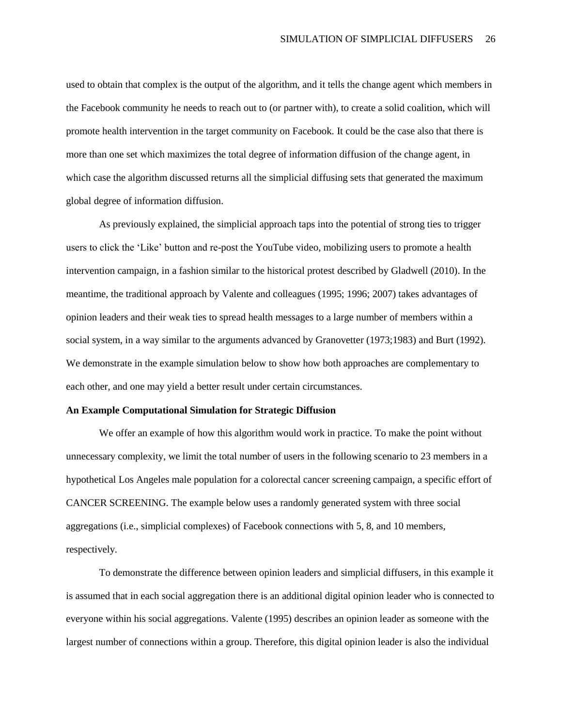used to obtain that complex is the output of the algorithm, and it tells the change agent which members in the Facebook community he needs to reach out to (or partner with), to create a solid coalition, which will promote health intervention in the target community on Facebook. It could be the case also that there is more than one set which maximizes the total degree of information diffusion of the change agent, in which case the algorithm discussed returns all the simplicial diffusing sets that generated the maximum global degree of information diffusion.

As previously explained, the simplicial approach taps into the potential of strong ties to trigger users to click the 'Like' button and re-post the YouTube video, mobilizing users to promote a health intervention campaign, in a fashion similar to the historical protest described by Gladwell [\(2010\)](#page-38-13). In the meantime, the traditional approach by Valente and colleagues (1995; 1996; 2007) takes advantages of opinion leaders and their weak ties to spread health messages to a large number of members within a social system, in a way similar to the arguments advanced by Granovetter (1973;1983) and Burt (1992). We demonstrate in the example simulation below to show how both approaches are complementary to each other, and one may yield a better result under certain circumstances.

# **An Example Computational Simulation for Strategic Diffusion**

We offer an example of how this algorithm would work in practice. To make the point without unnecessary complexity, we limit the total number of users in the following scenario to 23 members in a hypothetical Los Angeles male population for a colorectal cancer screening campaign, a specific effort of CANCER SCREENING. The example below uses a randomly generated system with three social aggregations (i.e., simplicial complexes) of Facebook connections with 5, 8, and 10 members, respectively.

To demonstrate the difference between opinion leaders and simplicial diffusers, in this example it is assumed that in each social aggregation there is an additional digital opinion leader who is connected to everyone within his social aggregations. Valente [\(1995\)](#page-39-6) describes an opinion leader as someone with the largest number of connections within a group. Therefore, this digital opinion leader is also the individual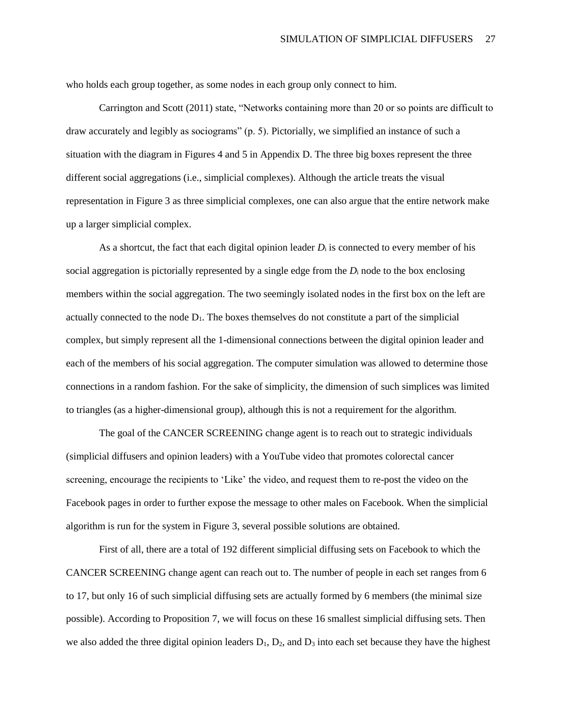who holds each group together, as some nodes in each group only connect to him.

Carrington and Scott [\(2011\)](#page-37-18) state, "Networks containing more than 20 or so points are difficult to draw accurately and legibly as sociograms" (p. 5). Pictorially, we simplified an instance of such a situation with the diagram in Figures 4 and 5 in Appendix D. The three big boxes represent the three different social aggregations (i.e., simplicial complexes). Although the article treats the visual representation in Figure 3 as three simplicial complexes, one can also argue that the entire network make up a larger simplicial complex.

As a shortcut, the fact that each digital opinion leader  $D_i$  is connected to every member of his social aggregation is pictorially represented by a single edge from the  $D_i$  node to the box enclosing members within the social aggregation. The two seemingly isolated nodes in the first box on the left are actually connected to the node  $D_1$ . The boxes themselves do not constitute a part of the simplicial complex, but simply represent all the 1-dimensional connections between the digital opinion leader and each of the members of his social aggregation. The computer simulation was allowed to determine those connections in a random fashion. For the sake of simplicity, the dimension of such simplices was limited to triangles (as a higher-dimensional group), although this is not a requirement for the algorithm.

The goal of the CANCER SCREENING change agent is to reach out to strategic individuals (simplicial diffusers and opinion leaders) with a YouTube video that promotes colorectal cancer screening, encourage the recipients to 'Like' the video, and request them to re-post the video on the Facebook pages in order to further expose the message to other males on Facebook. When the simplicial algorithm is run for the system in Figure 3, several possible solutions are obtained.

First of all, there are a total of 192 different simplicial diffusing sets on Facebook to which the CANCER SCREENING change agent can reach out to. The number of people in each set ranges from 6 to 17, but only 16 of such simplicial diffusing sets are actually formed by 6 members (the minimal size possible). According to Proposition 7, we will focus on these 16 smallest simplicial diffusing sets. Then we also added the three digital opinion leaders  $D_1$ ,  $D_2$ , and  $D_3$  into each set because they have the highest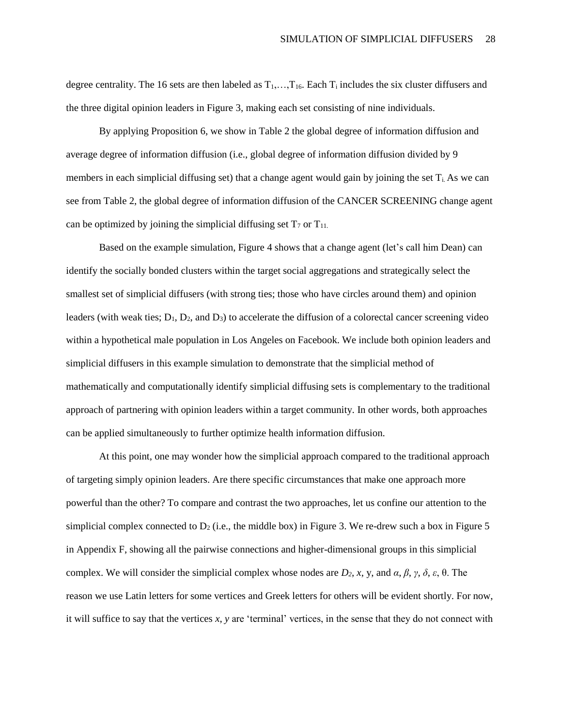degree centrality. The 16 sets are then labeled as  $T_1, \ldots, T_{16}$ . Each  $T_i$  includes the six cluster diffusers and the three digital opinion leaders in Figure 3, making each set consisting of nine individuals.

By applying Proposition 6, we show in Table 2 the global degree of information diffusion and average degree of information diffusion (i.e., global degree of information diffusion divided by 9 members in each simplicial diffusing set) that a change agent would gain by joining the set  $T_i$ . As we can see from Table 2, the global degree of information diffusion of the CANCER SCREENING change agent can be optimized by joining the simplicial diffusing set  $T_7$  or  $T_{11}$ .

Based on the example simulation, Figure 4 shows that a change agent (let's call him Dean) can identify the socially bonded clusters within the target social aggregations and strategically select the smallest set of simplicial diffusers (with strong ties; those who have circles around them) and opinion leaders (with weak ties;  $D_1$ ,  $D_2$ , and  $D_3$ ) to accelerate the diffusion of a colorectal cancer screening video within a hypothetical male population in Los Angeles on Facebook. We include both opinion leaders and simplicial diffusers in this example simulation to demonstrate that the simplicial method of mathematically and computationally identify simplicial diffusing sets is complementary to the traditional approach of partnering with opinion leaders within a target community. In other words, both approaches can be applied simultaneously to further optimize health information diffusion.

At this point, one may wonder how the simplicial approach compared to the traditional approach of targeting simply opinion leaders. Are there specific circumstances that make one approach more powerful than the other? To compare and contrast the two approaches, let us confine our attention to the simplicial complex connected to  $D_2$  (i.e., the middle box) in Figure 3. We re-drew such a box in Figure 5 in Appendix F, showing all the pairwise connections and higher-dimensional groups in this simplicial complex. We will consider the simplicial complex whose nodes are  $D_2$ , *x*, *y*, and  $\alpha$ ,  $\beta$ , *γ*,  $\delta$ ,  $\varepsilon$ ,  $\theta$ . The reason we use Latin letters for some vertices and Greek letters for others will be evident shortly. For now, it will suffice to say that the vertices *x*, *y* are 'terminal' vertices, in the sense that they do not connect with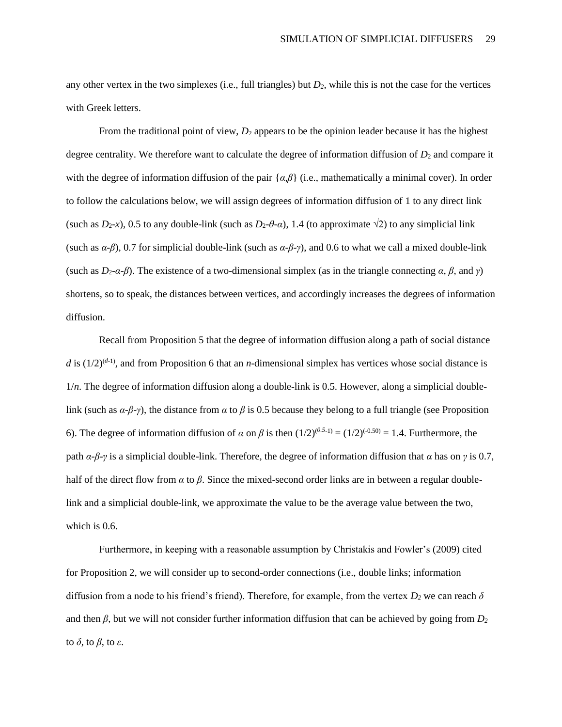any other vertex in the two simplexes (i.e., full triangles) but  $D_2$ , while this is not the case for the vertices with Greek letters.

From the traditional point of view,  $D_2$  appears to be the opinion leader because it has the highest degree centrality. We therefore want to calculate the degree of information diffusion of  $D_2$  and compare it with the degree of information diffusion of the pair  $\{\alpha, \beta\}$  (i.e., mathematically a minimal cover). In order to follow the calculations below, we will assign degrees of information diffusion of 1 to any direct link (such as  $D_2$ -*x*), 0.5 to any double-link (such as  $D_2$ - $\theta$ - $\alpha$ ), 1.4 (to approximate  $\sqrt{2}$ ) to any simplicial link (such as *α*-*β*), 0.7 for simplicial double-link (such as *α*-*β*-*γ*), and 0.6 to what we call a mixed double-link (such as  $D_2$ -*α*-*β*). The existence of a two-dimensional simplex (as in the triangle connecting *α*, *β*, and *γ*) shortens, so to speak, the distances between vertices, and accordingly increases the degrees of information diffusion.

Recall from Proposition 5 that the degree of information diffusion along a path of social distance *d* is  $(1/2)^{(d-1)}$ , and from Proposition 6 that an *n*-dimensional simplex has vertices whose social distance is 1/*n*. The degree of information diffusion along a double-link is 0.5. However, along a simplicial doublelink (such as *α*-*β*-*γ*), the distance from *α* to *β* is 0.5 because they belong to a full triangle (see Proposition 6). The degree of information diffusion of  $\alpha$  on  $\beta$  is then  $(1/2)^{(0.5-1)} = (1/2)^{(-0.50)} = 1.4$ . Furthermore, the path  $\alpha$ - $\beta$ - $\gamma$  is a simplicial double-link. Therefore, the degree of information diffusion that  $\alpha$  has on  $\gamma$  is 0.7, half of the direct flow from *α* to *β*. Since the mixed-second order links are in between a regular doublelink and a simplicial double-link, we approximate the value to be the average value between the two, which is 0.6.

Furthermore, in keeping with a reasonable assumption by Christakis and Fowler's [\(2009\)](#page-37-8) cited for Proposition 2, we will consider up to second-order connections (i.e., double links; information diffusion from a node to his friend's friend). Therefore, for example, from the vertex  $D_2$  we can reach  $\delta$ and then *β*, but we will not consider further information diffusion that can be achieved by going from *D<sup>2</sup>* to *δ*, to *β*, to *ε*.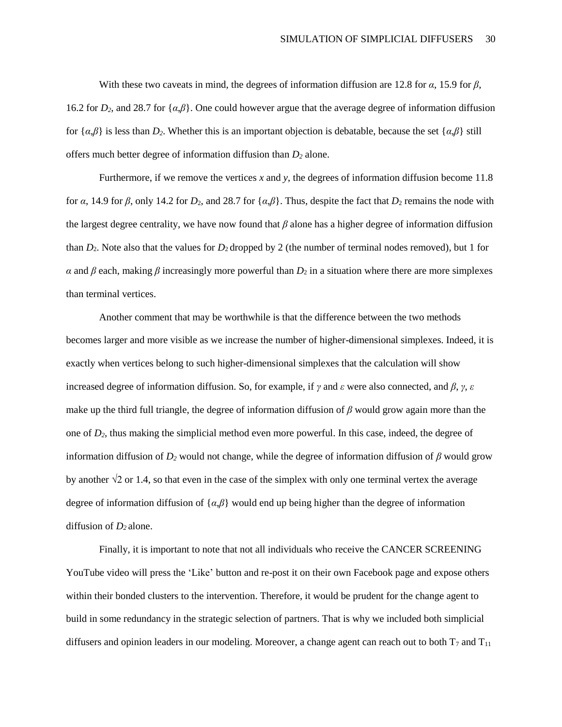With these two caveats in mind, the degrees of information diffusion are 12.8 for *α*, 15.9 for *β*, 16.2 for *D2*, and 28.7 for {*α*,*β*}. One could however argue that the average degree of information diffusion for  $\{\alpha,\beta\}$  is less than *D*<sub>2</sub>. Whether this is an important objection is debatable, because the set  $\{\alpha,\beta\}$  still offers much better degree of information diffusion than *D<sup>2</sup>* alone.

Furthermore, if we remove the vertices *x* and *y*, the degrees of information diffusion become 11.8 for *α*, 14.9 for *β*, only 14.2 for *D*<sub>2</sub>, and 28.7 for {*α,β*}. Thus, despite the fact that *D*<sub>2</sub> remains the node with the largest degree centrality, we have now found that *β* alone has a higher degree of information diffusion than  $D_2$ . Note also that the values for  $D_2$  dropped by 2 (the number of terminal nodes removed), but 1 for *α* and *β* each, making *β* increasingly more powerful than  $D_2$  in a situation where there are more simplexes than terminal vertices.

Another comment that may be worthwhile is that the difference between the two methods becomes larger and more visible as we increase the number of higher-dimensional simplexes. Indeed, it is exactly when vertices belong to such higher-dimensional simplexes that the calculation will show increased degree of information diffusion. So, for example, if *γ* and *ε* were also connected, and *β*, *γ*, *ε* make up the third full triangle, the degree of information diffusion of *β* would grow again more than the one of  $D_2$ , thus making the simplicial method even more powerful. In this case, indeed, the degree of information diffusion of  $D_2$  would not change, while the degree of information diffusion of  $\beta$  would grow by another  $\sqrt{2}$  or 1.4, so that even in the case of the simplex with only one terminal vertex the average degree of information diffusion of {*α*,*β*} would end up being higher than the degree of information diffusion of *D<sup>2</sup>* alone.

Finally, it is important to note that not all individuals who receive the CANCER SCREENING YouTube video will press the 'Like' button and re-post it on their own Facebook page and expose others within their bonded clusters to the intervention. Therefore, it would be prudent for the change agent to build in some redundancy in the strategic selection of partners. That is why we included both simplicial diffusers and opinion leaders in our modeling. Moreover, a change agent can reach out to both  $T_7$  and  $T_{11}$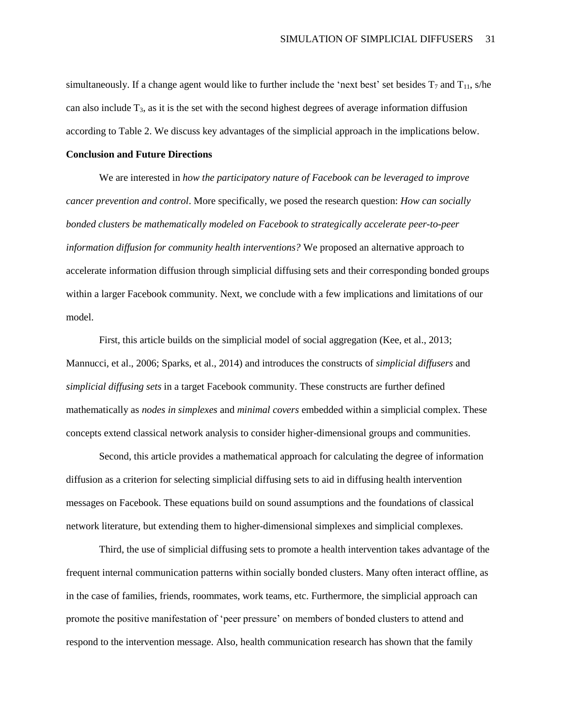simultaneously. If a change agent would like to further include the 'next best' set besides  $T_7$  and  $T_{11}$ , s/he can also include  $T_3$ , as it is the set with the second highest degrees of average information diffusion according to Table 2. We discuss key advantages of the simplicial approach in the implications below.

## **Conclusion and Future Directions**

We are interested in *how the participatory nature of Facebook can be leveraged to improve cancer prevention and control*. More specifically, we posed the research question: *How can socially bonded clusters be mathematically modeled on Facebook to strategically accelerate peer-to-peer information diffusion for community health interventions?* We proposed an alternative approach to accelerate information diffusion through simplicial diffusing sets and their corresponding bonded groups within a larger Facebook community. Next, we conclude with a few implications and limitations of our model.

First, this article builds on the simplicial model of social aggregation [\(Kee, et al., 2013;](#page-38-8) [Mannucci, et al., 2006;](#page-39-10) [Sparks, et al., 2014\)](#page-39-11) and introduces the constructs of *simplicial diffusers* and *simplicial diffusing sets* in a target Facebook community. These constructs are further defined mathematically as *nodes in simplexes* and *minimal covers* embedded within a simplicial complex. These concepts extend classical network analysis to consider higher-dimensional groups and communities.

Second, this article provides a mathematical approach for calculating the degree of information diffusion as a criterion for selecting simplicial diffusing sets to aid in diffusing health intervention messages on Facebook. These equations build on sound assumptions and the foundations of classical network literature, but extending them to higher-dimensional simplexes and simplicial complexes.

Third, the use of simplicial diffusing sets to promote a health intervention takes advantage of the frequent internal communication patterns within socially bonded clusters. Many often interact offline, as in the case of families, friends, roommates, work teams, etc. Furthermore, the simplicial approach can promote the positive manifestation of 'peer pressure' on members of bonded clusters to attend and respond to the intervention message. Also, health communication research has shown that the family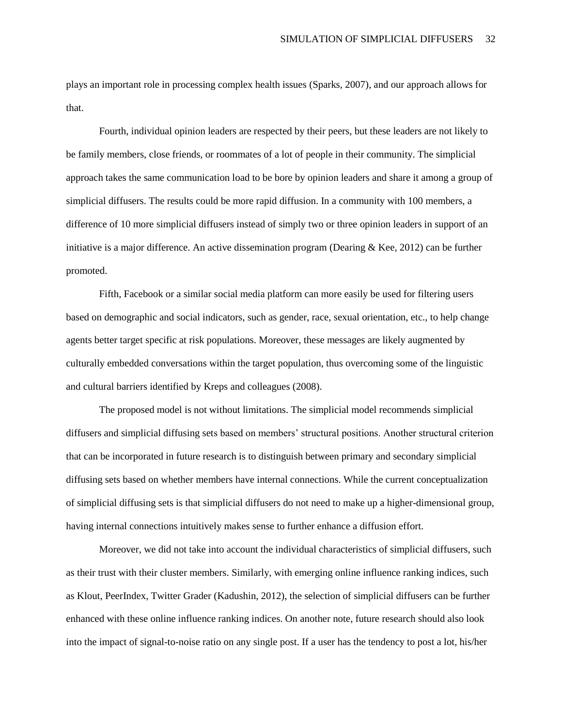plays an important role in processing complex health issues [\(Sparks, 2007\)](#page-39-22), and our approach allows for that.

Fourth, individual opinion leaders are respected by their peers, but these leaders are not likely to be family members, close friends, or roommates of a lot of people in their community. The simplicial approach takes the same communication load to be bore by opinion leaders and share it among a group of simplicial diffusers. The results could be more rapid diffusion. In a community with 100 members, a difference of 10 more simplicial diffusers instead of simply two or three opinion leaders in support of an initiative is a major difference. An active dissemination program [\(Dearing & Kee, 2012\)](#page-38-19) can be further promoted.

Fifth, Facebook or a similar social media platform can more easily be used for filtering users based on demographic and social indicators, such as gender, race, sexual orientation, etc., to help change agents better target specific at risk populations. Moreover, these messages are likely augmented by culturally embedded conversations within the target population, thus overcoming some of the linguistic and cultural barriers identified by Kreps and colleagues [\(2008\)](#page-38-20).

The proposed model is not without limitations. The simplicial model recommends simplicial diffusers and simplicial diffusing sets based on members' structural positions. Another structural criterion that can be incorporated in future research is to distinguish between primary and secondary simplicial diffusing sets based on whether members have internal connections. While the current conceptualization of simplicial diffusing sets is that simplicial diffusers do not need to make up a higher-dimensional group, having internal connections intuitively makes sense to further enhance a diffusion effort.

Moreover, we did not take into account the individual characteristics of simplicial diffusers, such as their trust with their cluster members. Similarly, with emerging online influence ranking indices, such as Klout, PeerIndex, Twitter Grader [\(Kadushin, 2012\)](#page-38-5), the selection of simplicial diffusers can be further enhanced with these online influence ranking indices. On another note, future research should also look into the impact of signal-to-noise ratio on any single post. If a user has the tendency to post a lot, his/her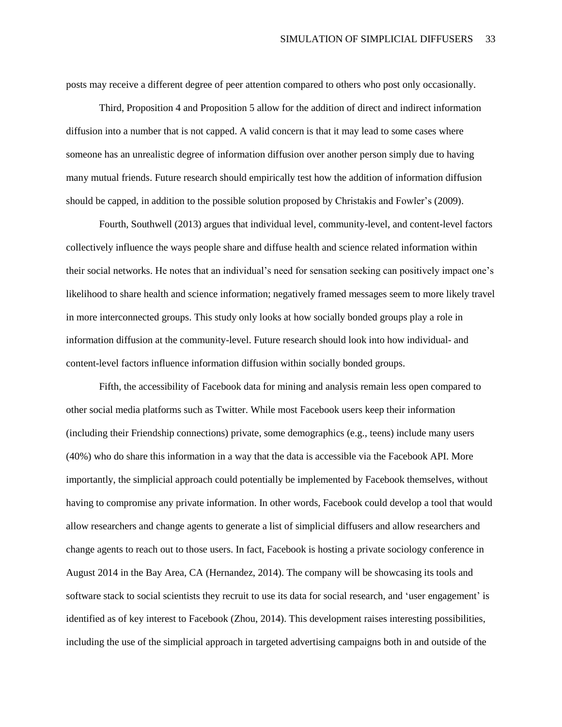posts may receive a different degree of peer attention compared to others who post only occasionally.

Third, Proposition 4 and Proposition 5 allow for the addition of direct and indirect information diffusion into a number that is not capped. A valid concern is that it may lead to some cases where someone has an unrealistic degree of information diffusion over another person simply due to having many mutual friends. Future research should empirically test how the addition of information diffusion should be capped, in addition to the possible solution proposed by Christakis and Fowler's [\(2009\)](#page-37-8).

Fourth, Southwell [\(2013\)](#page-39-8) argues that individual level, community-level, and content-level factors collectively influence the ways people share and diffuse health and science related information within their social networks. He notes that an individual's need for sensation seeking can positively impact one's likelihood to share health and science information; negatively framed messages seem to more likely travel in more interconnected groups. This study only looks at how socially bonded groups play a role in information diffusion at the community-level. Future research should look into how individual- and content-level factors influence information diffusion within socially bonded groups.

Fifth, the accessibility of Facebook data for mining and analysis remain less open compared to other social media platforms such as Twitter. While most Facebook users keep their information (including their Friendship connections) private, some demographics (e.g., teens) include many users (40%) who do share this information in a way that the data is accessible via the Facebook API. More importantly, the simplicial approach could potentially be implemented by Facebook themselves, without having to compromise any private information. In other words, Facebook could develop a tool that would allow researchers and change agents to generate a list of simplicial diffusers and allow researchers and change agents to reach out to those users. In fact, Facebook is hosting a private sociology conference in August 2014 in the Bay Area, CA [\(Hernandez, 2014\)](#page-38-21). The company will be showcasing its tools and software stack to social scientists they recruit to use its data for social research, and 'user engagement' is identified as of key interest to Facebook [\(Zhou, 2014\)](#page-40-10). This development raises interesting possibilities, including the use of the simplicial approach in targeted advertising campaigns both in and outside of the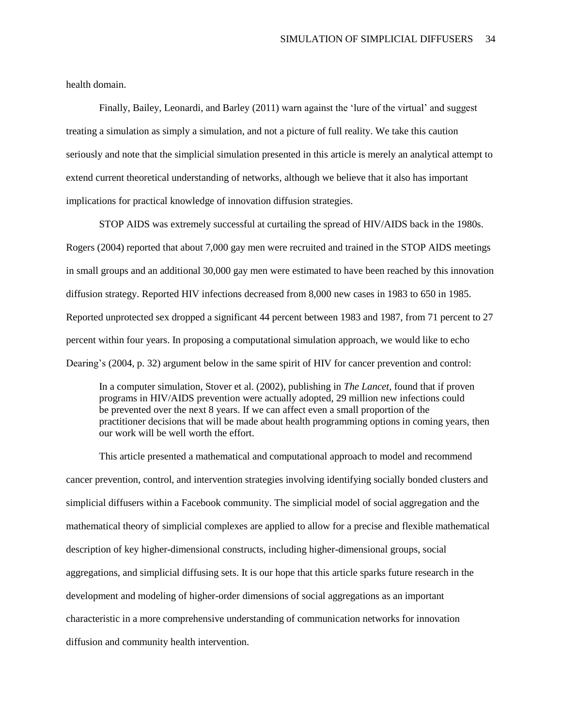health domain.

Finally, Bailey, Leonardi, and Barley [\(2011\)](#page-37-19) warn against the 'lure of the virtual' and suggest treating a simulation as simply a simulation, and not a picture of full reality. We take this caution seriously and note that the simplicial simulation presented in this article is merely an analytical attempt to extend current theoretical understanding of networks, although we believe that it also has important implications for practical knowledge of innovation diffusion strategies.

STOP AIDS was extremely successful at curtailing the spread of HIV/AIDS back in the 1980s. Rogers [\(2004\)](#page-39-1) reported that about 7,000 gay men were recruited and trained in the STOP AIDS meetings in small groups and an additional 30,000 gay men were estimated to have been reached by this innovation diffusion strategy. Reported HIV infections decreased from 8,000 new cases in 1983 to 650 in 1985. Reported unprotected sex dropped a significant 44 percent between 1983 and 1987, from 71 percent to 27 percent within four years. In proposing a computational simulation approach, we would like to echo Dearing's [\(2004, p. 32\)](#page-37-3) argument below in the same spirit of HIV for cancer prevention and control:

In a computer simulation, Stover et al. (2002), publishing in *The Lancet*, found that if proven programs in HIV/AIDS prevention were actually adopted, 29 million new infections could be prevented over the next 8 years. If we can affect even a small proportion of the practitioner decisions that will be made about health programming options in coming years, then our work will be well worth the effort.

This article presented a mathematical and computational approach to model and recommend cancer prevention, control, and intervention strategies involving identifying socially bonded clusters and simplicial diffusers within a Facebook community. The simplicial model of social aggregation and the mathematical theory of simplicial complexes are applied to allow for a precise and flexible mathematical description of key higher-dimensional constructs, including higher-dimensional groups, social aggregations, and simplicial diffusing sets. It is our hope that this article sparks future research in the development and modeling of higher-order dimensions of social aggregations as an important characteristic in a more comprehensive understanding of communication networks for innovation diffusion and community health intervention.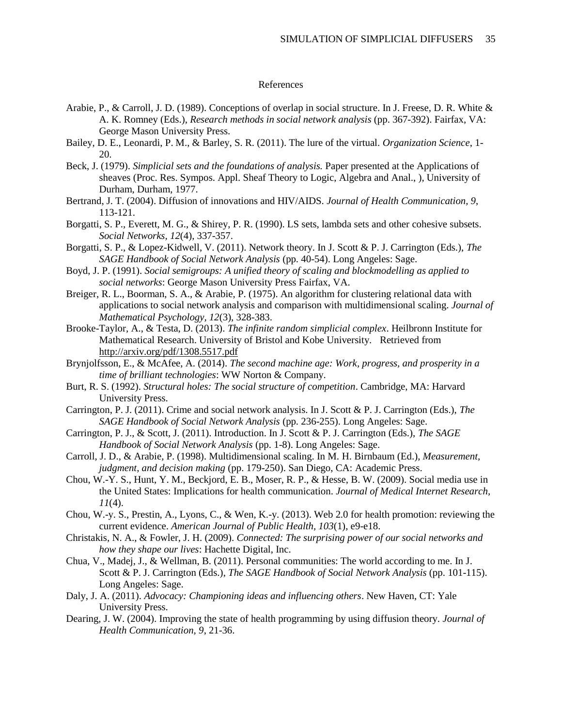#### References

- <span id="page-37-13"></span>Arabie, P., & Carroll, J. D. (1989). Conceptions of overlap in social structure. In J. Freese, D. R. White & A. K. Romney (Eds.), *Research methods in social network analysis* (pp. 367-392). Fairfax, VA: George Mason University Press.
- <span id="page-37-19"></span>Bailey, D. E., Leonardi, P. M., & Barley, S. R. (2011). The lure of the virtual. *Organization Science*, 1- 20.
- <span id="page-37-4"></span>Beck, J. (1979). *Simplicial sets and the foundations of analysis.* Paper presented at the Applications of sheaves (Proc. Res. Sympos. Appl. Sheaf Theory to Logic, Algebra and Anal., ), University of Durham, Durham, 1977.
- <span id="page-37-0"></span>Bertrand, J. T. (2004). Diffusion of innovations and HIV/AIDS. *Journal of Health Communication, 9*, 113-121.
- <span id="page-37-16"></span>Borgatti, S. P., Everett, M. G., & Shirey, P. R. (1990). LS sets, lambda sets and other cohesive subsets. *Social Networks, 12*(4), 337-357.
- <span id="page-37-7"></span>Borgatti, S. P., & Lopez-Kidwell, V. (2011). Network theory. In J. Scott & P. J. Carrington (Eds.), *The SAGE Handbook of Social Network Analysis* (pp. 40-54). Long Angeles: Sage.
- <span id="page-37-12"></span>Boyd, J. P. (1991). *Social semigroups: A unified theory of scaling and blockmodelling as applied to social networks*: George Mason University Press Fairfax, VA.
- <span id="page-37-15"></span>Breiger, R. L., Boorman, S. A., & Arabie, P. (1975). An algorithm for clustering relational data with applications to social network analysis and comparison with multidimensional scaling. *Journal of Mathematical Psychology, 12*(3), 328-383.
- <span id="page-37-5"></span>Brooke-Taylor, A., & Testa, D. (2013). *The infinite random simplicial complex*. Heilbronn Institute for Mathematical Research. University of Bristol and Kobe University. Retrieved from <http://arxiv.org/pdf/1308.5517.pdf>
- <span id="page-37-17"></span>Brynjolfsson, E., & McAfee, A. (2014). *The second machine age: Work, progress, and prosperity in a time of brilliant technologies*: WW Norton & Company.
- <span id="page-37-10"></span>Burt, R. S. (1992). *Structural holes: The social structure of competition*. Cambridge, MA: Harvard University Press.
- <span id="page-37-11"></span>Carrington, P. J. (2011). Crime and social network analysis. In J. Scott & P. J. Carrington (Eds.), *The SAGE Handbook of Social Network Analysis* (pp. 236-255). Long Angeles: Sage.
- <span id="page-37-18"></span>Carrington, P. J., & Scott, J. (2011). Introduction. In J. Scott & P. J. Carrington (Eds.), *The SAGE Handbook of Social Network Analysis* (pp. 1-8). Long Angeles: Sage.
- <span id="page-37-14"></span>Carroll, J. D., & Arabie, P. (1998). Multidimensional scaling. In M. H. Birnbaum (Ed.), *Measurement, judgment, and decision making* (pp. 179-250). San Diego, CA: Academic Press.
- <span id="page-37-1"></span>Chou, W.-Y. S., Hunt, Y. M., Beckjord, E. B., Moser, R. P., & Hesse, B. W. (2009). Social media use in the United States: Implications for health communication. *Journal of Medical Internet Research, 11*(4).
- <span id="page-37-2"></span>Chou, W.-y. S., Prestin, A., Lyons, C., & Wen, K.-y. (2013). Web 2.0 for health promotion: reviewing the current evidence. *American Journal of Public Health, 103*(1), e9-e18.
- <span id="page-37-8"></span>Christakis, N. A., & Fowler, J. H. (2009). *Connected: The surprising power of our social networks and how they shape our lives*: Hachette Digital, Inc.
- <span id="page-37-6"></span>Chua, V., Madej, J., & Wellman, B. (2011). Personal communities: The world according to me. In J. Scott & P. J. Carrington (Eds.), *The SAGE Handbook of Social Network Analysis* (pp. 101-115). Long Angeles: Sage.
- <span id="page-37-9"></span>Daly, J. A. (2011). *Advocacy: Championing ideas and influencing others*. New Haven, CT: Yale University Press.
- <span id="page-37-3"></span>Dearing, J. W. (2004). Improving the state of health programming by using diffusion theory. *Journal of Health Communication, 9*, 21-36.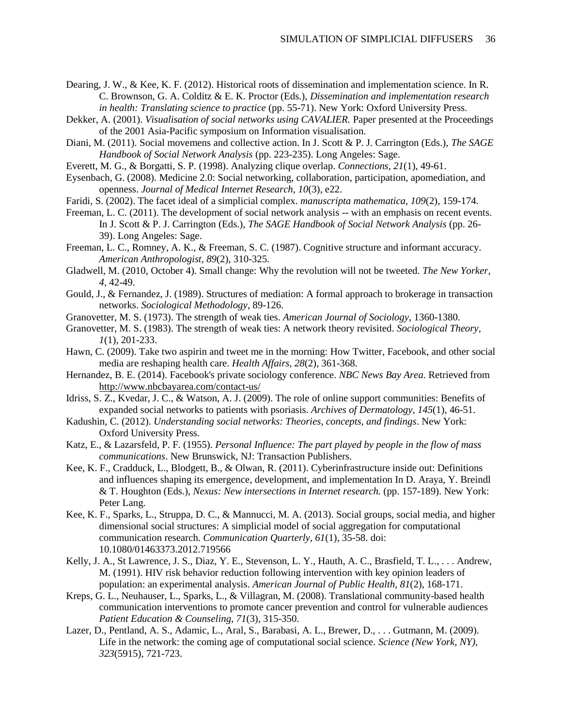- <span id="page-38-19"></span>Dearing, J. W., & Kee, K. F. (2012). Historical roots of dissemination and implementation science. In R. C. Brownson, G. A. Colditz & E. K. Proctor (Eds.), *Dissemination and implementation research in health: Translating science to practice* (pp. 55-71). New York: Oxford University Press.
- <span id="page-38-14"></span>Dekker, A. (2001). *Visualisation of social networks using CAVALIER.* Paper presented at the Proceedings of the 2001 Asia-Pacific symposium on Information visualisation.
- <span id="page-38-12"></span>Diani, M. (2011). Social movemens and collective action. In J. Scott & P. J. Carrington (Eds.), *The SAGE Handbook of Social Network Analysis* (pp. 223-235). Long Angeles: Sage.
- <span id="page-38-17"></span>Everett, M. G., & Borgatti, S. P. (1998). Analyzing clique overlap. *Connections, 21*(1), 49-61.
- <span id="page-38-1"></span>Eysenbach, G. (2008). Medicine 2.0: Social networking, collaboration, participation, apomediation, and openness. *Journal of Medical Internet Research, 10*(3), e22.
- <span id="page-38-9"></span>Faridi, S. (2002). The facet ideal of a simplicial complex. *manuscripta mathematica, 109*(2), 159-174.
- <span id="page-38-16"></span>Freeman, L. C. (2011). The development of social network analysis -- with an emphasis on recent events. In J. Scott & P. J. Carrington (Eds.), *The SAGE Handbook of Social Network Analysis* (pp. 26- 39). Long Angeles: Sage.
- <span id="page-38-15"></span>Freeman, L. C., Romney, A. K., & Freeman, S. C. (1987). Cognitive structure and informant accuracy. *American Anthropologist, 89*(2), 310-325.
- <span id="page-38-13"></span>Gladwell, M. (2010, October 4). Small change: Why the revolution will not be tweeted. *The New Yorker, 4,* 42-49.
- <span id="page-38-10"></span>Gould, J., & Fernandez, J. (1989). Structures of mediation: A formal approach to brokerage in transaction networks. *Sociological Methodology*, 89-126.
- <span id="page-38-7"></span>Granovetter, M. S. (1973). The strength of weak ties. *American Journal of Sociology*, 1360-1380.
- <span id="page-38-11"></span>Granovetter, M. S. (1983). The strength of weak ties: A network theory revisited. *Sociological Theory, 1*(1), 201-233.
- <span id="page-38-3"></span>Hawn, C. (2009). Take two aspirin and tweet me in the morning: How Twitter, Facebook, and other social media are reshaping health care. *Health Affairs, 28*(2), 361-368.
- <span id="page-38-21"></span>Hernandez, B. E. (2014). Facebook's private sociology conference. *NBC News Bay Area*. Retrieved from <http://www.nbcbayarea.com/contact-us/>
- <span id="page-38-2"></span>Idriss, S. Z., Kvedar, J. C., & Watson, A. J. (2009). The role of online support communities: Benefits of expanded social networks to patients with psoriasis. *Archives of Dermatology, 145*(1), 46-51.
- <span id="page-38-5"></span>Kadushin, C. (2012). *Understanding social networks: Theories, concepts, and findings*. New York: Oxford University Press.
- <span id="page-38-6"></span>Katz, E., & Lazarsfeld, P. F. (1955). *Personal Influence: The part played by people in the flow of mass communications*. New Brunswick, NJ: Transaction Publishers.
- <span id="page-38-18"></span>Kee, K. F., Cradduck, L., Blodgett, B., & Olwan, R. (2011). Cyberinfrastructure inside out: Definitions and influences shaping its emergence, development, and implementation In D. Araya, Y. Breindl & T. Houghton (Eds.), *Nexus: New intersections in Internet research.* (pp. 157-189). New York: Peter Lang.
- <span id="page-38-8"></span>Kee, K. F., Sparks, L., Struppa, D. C., & Mannucci, M. A. (2013). Social groups, social media, and higher dimensional social structures: A simplicial model of social aggregation for computational communication research. *Communication Quarterly, 61*(1), 35-58. doi: 10.1080/01463373.2012.719566
- <span id="page-38-4"></span>Kelly, J. A., St Lawrence, J. S., Diaz, Y. E., Stevenson, L. Y., Hauth, A. C., Brasfield, T. L., . . . Andrew, M. (1991). HIV risk behavior reduction following intervention with key opinion leaders of population: an experimental analysis. *American Journal of Public Health, 81*(2), 168-171.
- <span id="page-38-20"></span>Kreps, G. L., Neuhauser, L., Sparks, L., & Villagran, M. (2008). Translational community-based health communication interventions to promote cancer prevention and control for vulnerable audiences *Patient Education & Counseling, 71*(3), 315-350.
- <span id="page-38-0"></span>Lazer, D., Pentland, A. S., Adamic, L., Aral, S., Barabasi, A. L., Brewer, D., . . . Gutmann, M. (2009). Life in the network: the coming age of computational social science. *Science (New York, NY), 323*(5915), 721-723.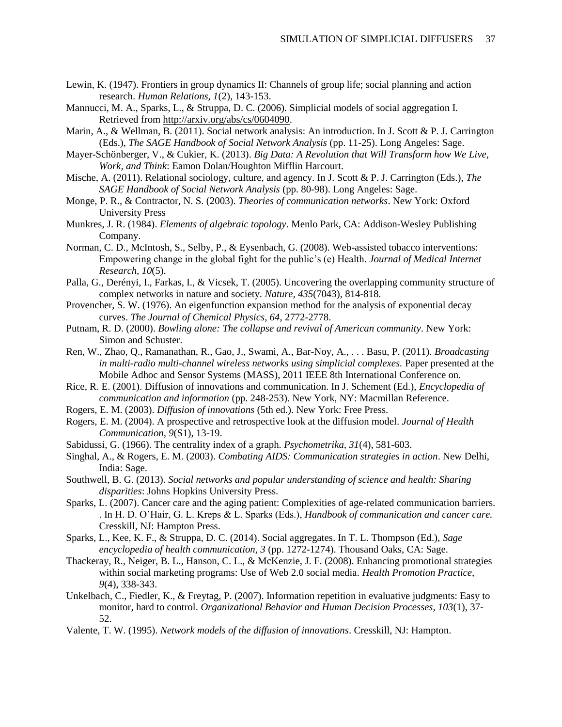- <span id="page-39-2"></span>Lewin, K. (1947). Frontiers in group dynamics II: Channels of group life; social planning and action research. *Human Relations, 1*(2), 143-153.
- <span id="page-39-10"></span>Mannucci, M. A., Sparks, L., & Struppa, D. C. (2006). Simplicial models of social aggregation I. Retrieved fro[m http://arxiv.org/abs/cs/0604090.](http://arxiv.org/abs/cs/0604090)
- <span id="page-39-20"></span>Marin, A., & Wellman, B. (2011). Social network analysis: An introduction. In J. Scott & P. J. Carrington (Eds.), *The SAGE Handbook of Social Network Analysis* (pp. 11-25). Long Angeles: Sage.
- <span id="page-39-16"></span>Mayer-Schönberger, V., & Cukier, K. (2013). *Big Data: A Revolution that Will Transform how We Live, Work, and Think*: Eamon Dolan/Houghton Mifflin Harcourt.
- <span id="page-39-19"></span>Mische, A. (2011). Relational sociology, culture, and agency. In J. Scott & P. J. Carrington (Eds.), *The SAGE Handbook of Social Network Analysis* (pp. 80-98). Long Angeles: Sage.
- <span id="page-39-18"></span>Monge, P. R., & Contractor, N. S. (2003). *Theories of communication networks*. New York: Oxford University Press
- <span id="page-39-12"></span>Munkres, J. R. (1984). *Elements of algebraic topology*. Menlo Park, CA: Addison-Wesley Publishing Company.
- <span id="page-39-5"></span>Norman, C. D., McIntosh, S., Selby, P., & Eysenbach, G. (2008). Web-assisted tobacco interventions: Empowering change in the global fight for the public's (e) Health. *Journal of Medical Internet Research, 10*(5).
- <span id="page-39-21"></span>Palla, G., Derényi, I., Farkas, I., & Vicsek, T. (2005). Uncovering the overlapping community structure of complex networks in nature and society. *Nature, 435*(7043), 814-818.
- <span id="page-39-14"></span>Provencher, S. W. (1976). An eigenfunction expansion method for the analysis of exponential decay curves. *The Journal of Chemical Physics, 64*, 2772-2778.
- <span id="page-39-9"></span>Putnam, R. D. (2000). *Bowling alone: The collapse and revival of American community*. New York: Simon and Schuster.
- <span id="page-39-13"></span>Ren, W., Zhao, Q., Ramanathan, R., Gao, J., Swami, A., Bar-Noy, A., . . . Basu, P. (2011). *Broadcasting in multi-radio multi-channel wireless networks using simplicial complexes.* Paper presented at the Mobile Adhoc and Sensor Systems (MASS), 2011 IEEE 8th International Conference on.
- <span id="page-39-7"></span>Rice, R. E. (2001). Diffusion of innovations and communication. In J. Schement (Ed.), *Encyclopedia of communication and information* (pp. 248-253). New York, NY: Macmillan Reference.
- <span id="page-39-0"></span>Rogers, E. M. (2003). *Diffusion of innovations* (5th ed.). New York: Free Press.
- <span id="page-39-1"></span>Rogers, E. M. (2004). A prospective and retrospective look at the diffusion model. *Journal of Health Communication, 9*(S1), 13-19.
- <span id="page-39-17"></span>Sabidussi, G. (1966). The centrality index of a graph. *Psychometrika, 31*(4), 581-603.
- <span id="page-39-3"></span>Singhal, A., & Rogers, E. M. (2003). *Combating AIDS: Communication strategies in action*. New Delhi, India: Sage.
- <span id="page-39-8"></span>Southwell, B. G. (2013). *Social networks and popular understanding of science and health: Sharing disparities*: Johns Hopkins University Press.
- <span id="page-39-22"></span>Sparks, L. (2007). Cancer care and the aging patient: Complexities of age-related communication barriers. . In H. D. O'Hair, G. L. Kreps & L. Sparks (Eds.), *Handbook of communication and cancer care.* Cresskill, NJ: Hampton Press.
- <span id="page-39-11"></span>Sparks, L., Kee, K. F., & Struppa, D. C. (2014). Social aggregates. In T. L. Thompson (Ed.), *Sage encyclopedia of health communication, 3* (pp. 1272-1274). Thousand Oaks, CA: Sage.
- <span id="page-39-4"></span>Thackeray, R., Neiger, B. L., Hanson, C. L., & McKenzie, J. F. (2008). Enhancing promotional strategies within social marketing programs: Use of Web 2.0 social media. *Health Promotion Practice, 9*(4), 338-343.
- <span id="page-39-15"></span>Unkelbach, C., Fiedler, K., & Freytag, P. (2007). Information repetition in evaluative judgments: Easy to monitor, hard to control. *Organizational Behavior and Human Decision Processes, 103*(1), 37- 52.
- <span id="page-39-6"></span>Valente, T. W. (1995). *Network models of the diffusion of innovations*. Cresskill, NJ: Hampton.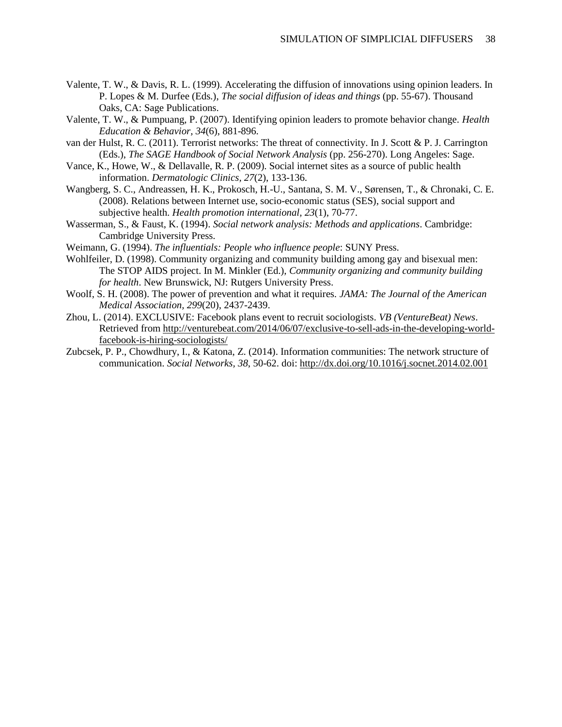- <span id="page-40-5"></span>Valente, T. W., & Davis, R. L. (1999). Accelerating the diffusion of innovations using opinion leaders. In P. Lopes & M. Durfee (Eds.), *The social diffusion of ideas and things* (pp. 55-67). Thousand Oaks, CA: Sage Publications.
- <span id="page-40-4"></span>Valente, T. W., & Pumpuang, P. (2007). Identifying opinion leaders to promote behavior change. *Health Education & Behavior, 34*(6), 881-896.
- <span id="page-40-9"></span>van der Hulst, R. C. (2011). Terrorist networks: The threat of connectivity. In J. Scott & P. J. Carrington (Eds.), *The SAGE Handbook of Social Network Analysis* (pp. 256-270). Long Angeles: Sage.
- <span id="page-40-3"></span>Vance, K., Howe, W., & Dellavalle, R. P. (2009). Social internet sites as a source of public health information. *Dermatologic Clinics, 27*(2), 133-136.
- <span id="page-40-2"></span>Wangberg, S. C., Andreassen, H. K., Prokosch, H.-U., Santana, S. M. V., Sørensen, T., & Chronaki, C. E. (2008). Relations between Internet use, socio-economic status (SES), social support and subjective health. *Health promotion international, 23*(1), 70-77.
- <span id="page-40-8"></span>Wasserman, S., & Faust, K. (1994). *Social network analysis: Methods and applications*. Cambridge: Cambridge University Press.
- <span id="page-40-7"></span>Weimann, G. (1994). *The influentials: People who influence people*: SUNY Press.
- <span id="page-40-0"></span>Wohlfeiler, D. (1998). Community organizing and community building among gay and bisexual men: The STOP AIDS project. In M. Minkler (Ed.), *Community organizing and community building for health*. New Brunswick, NJ: Rutgers University Press.
- <span id="page-40-1"></span>Woolf, S. H. (2008). The power of prevention and what it requires. *JAMA: The Journal of the American Medical Association, 299*(20), 2437-2439.
- <span id="page-40-10"></span>Zhou, L. (2014). EXCLUSIVE: Facebook plans event to recruit sociologists. *VB (VentureBeat) News*. Retrieved fro[m http://venturebeat.com/2014/06/07/exclusive-to-sell-ads-in-the-developing-world](http://venturebeat.com/2014/06/07/exclusive-to-sell-ads-in-the-developing-world-facebook-is-hiring-sociologists/)[facebook-is-hiring-sociologists/](http://venturebeat.com/2014/06/07/exclusive-to-sell-ads-in-the-developing-world-facebook-is-hiring-sociologists/)
- <span id="page-40-6"></span>Zubcsek, P. P., Chowdhury, I., & Katona, Z. (2014). Information communities: The network structure of communication. *Social Networks, 38*, 50-62. doi[: http://dx.doi.org/10.1016/j.socnet.2014.02.001](http://dx.doi.org/10.1016/j.socnet.2014.02.001)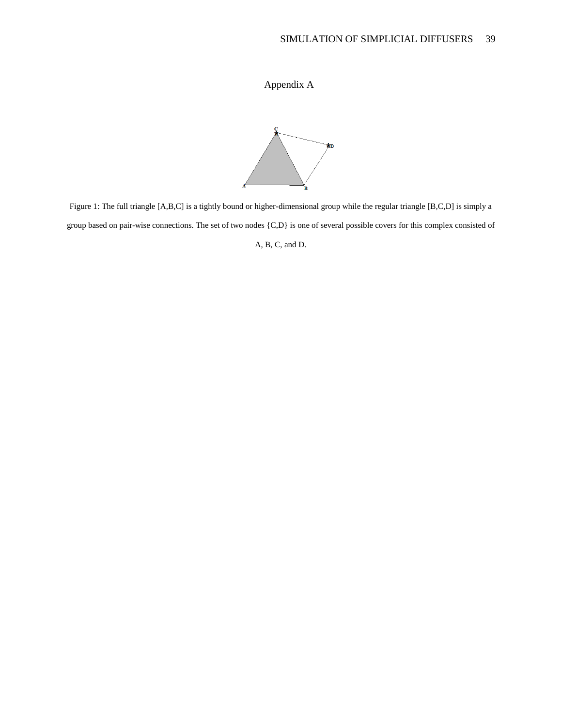



Figure 1: The full triangle [A,B,C] is a tightly bound or higher-dimensional group while the regular triangle [B,C,D] is simply a group based on pair-wise connections. The set of two nodes {C,D} is one of several possible covers for this complex consisted of A, B, C, and D.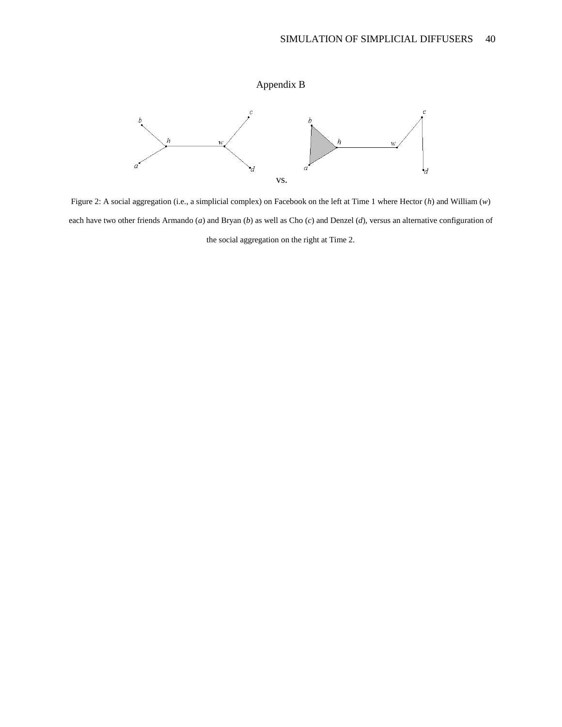

Figure 2: A social aggregation (i.e., a simplicial complex) on Facebook on the left at Time 1 where Hector (*h*) and William (*w*) each have two other friends Armando (*a*) and Bryan (*b*) as well as Cho (*c*) and Denzel (*d*), versus an alternative configuration of the social aggregation on the right at Time 2.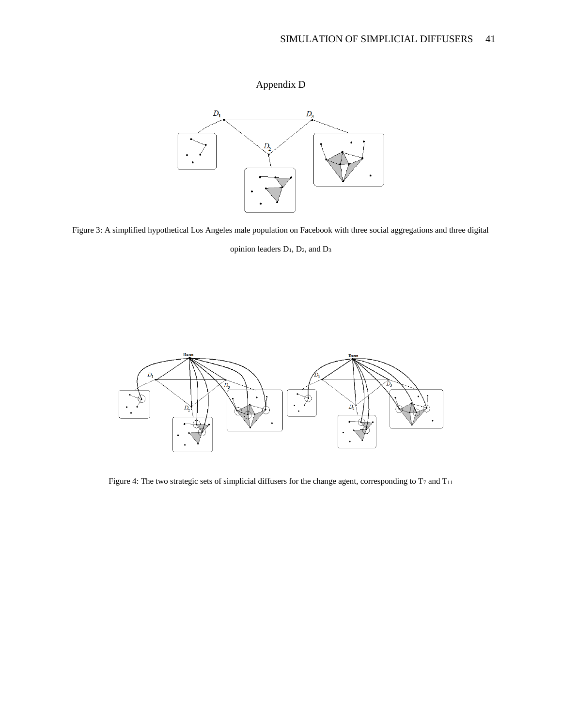



Figure 3: A simplified hypothetical Los Angeles male population on Facebook with three social aggregations and three digital

opinion leaders D1, D2, and D<sup>3</sup>



Figure 4: The two strategic sets of simplicial diffusers for the change agent, corresponding to  $T_7$  and  $T_{11}$